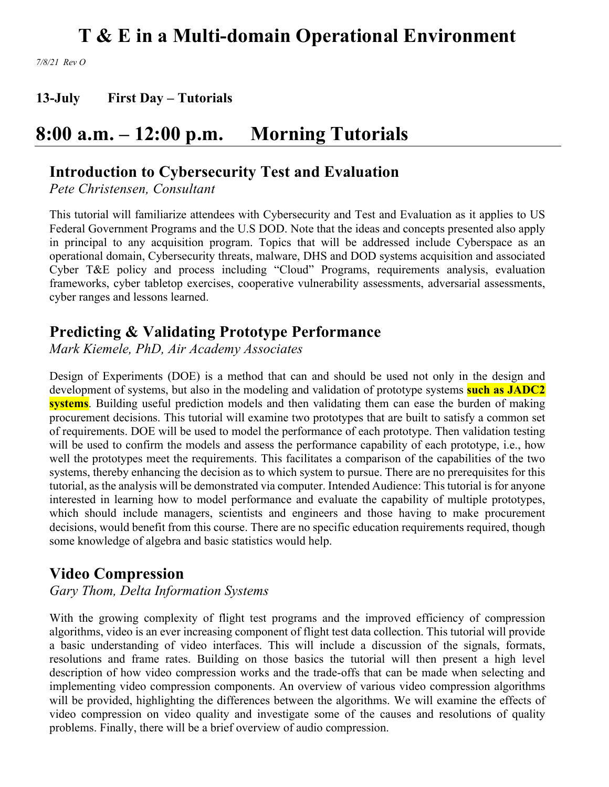*7/8/21 Rev O*

**13-July First Day – Tutorials**

## **8:00 a.m. – 12:00 p.m. Morning Tutorials**

### **Introduction to Cybersecurity Test and Evaluation**

*Pete Christensen, Consultant*

This tutorial will familiarize attendees with Cybersecurity and Test and Evaluation as it applies to US Federal Government Programs and the U.S DOD. Note that the ideas and concepts presented also apply in principal to any acquisition program. Topics that will be addressed include Cyberspace as an operational domain, Cybersecurity threats, malware, DHS and DOD systems acquisition and associated Cyber T&E policy and process including "Cloud" Programs, requirements analysis, evaluation frameworks, cyber tabletop exercises, cooperative vulnerability assessments, adversarial assessments, cyber ranges and lessons learned.

### **Predicting & Validating Prototype Performance**

*Mark Kiemele, PhD, Air Academy Associates*

Design of Experiments (DOE) is a method that can and should be used not only in the design and development of systems, but also in the modeling and validation of prototype systems **such as JADC2 systems**. Building useful prediction models and then validating them can ease the burden of making procurement decisions. This tutorial will examine two prototypes that are built to satisfy a common set of requirements. DOE will be used to model the performance of each prototype. Then validation testing will be used to confirm the models and assess the performance capability of each prototype, i.e., how well the prototypes meet the requirements. This facilitates a comparison of the capabilities of the two systems, thereby enhancing the decision as to which system to pursue. There are no prerequisites for this tutorial, as the analysis will be demonstrated via computer. Intended Audience: This tutorial is for anyone interested in learning how to model performance and evaluate the capability of multiple prototypes, which should include managers, scientists and engineers and those having to make procurement decisions, would benefit from this course. There are no specific education requirements required, though some knowledge of algebra and basic statistics would help.

### **Video Compression**

*Gary Thom, Delta Information Systems*

With the growing complexity of flight test programs and the improved efficiency of compression algorithms, video is an ever increasing component of flight test data collection. This tutorial will provide a basic understanding of video interfaces. This will include a discussion of the signals, formats, resolutions and frame rates. Building on those basics the tutorial will then present a high level description of how video compression works and the trade-offs that can be made when selecting and implementing video compression components. An overview of various video compression algorithms will be provided, highlighting the differences between the algorithms. We will examine the effects of video compression on video quality and investigate some of the causes and resolutions of quality problems. Finally, there will be a brief overview of audio compression.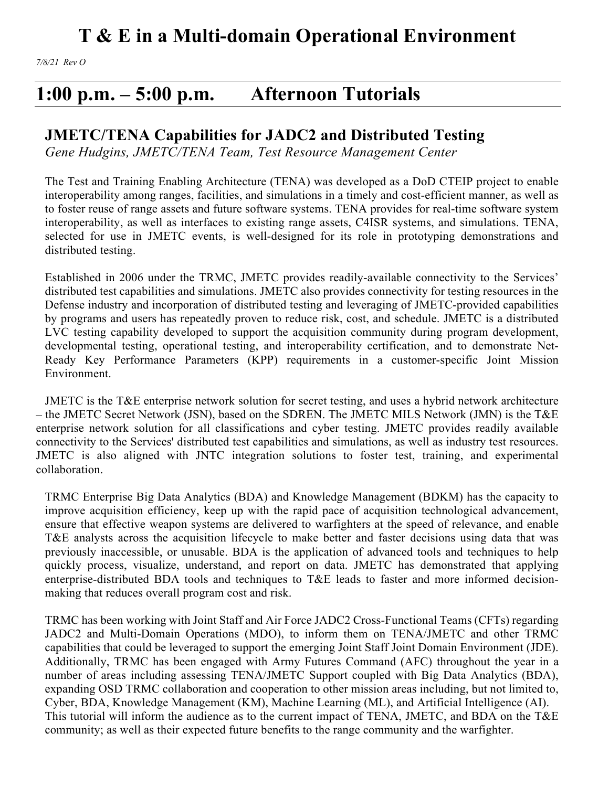## **1:00 p.m. – 5:00 p.m. Afternoon Tutorials**

### **JMETC/TENA Capabilities for JADC2 and Distributed Testing**

*Gene Hudgins, JMETC/TENA Team, Test Resource Management Center*

The Test and Training Enabling Architecture (TENA) was developed as a DoD CTEIP project to enable interoperability among ranges, facilities, and simulations in a timely and cost-efficient manner, as well as to foster reuse of range assets and future software systems. TENA provides for real-time software system interoperability, as well as interfaces to existing range assets, C4ISR systems, and simulations. TENA, selected for use in JMETC events, is well-designed for its role in prototyping demonstrations and distributed testing.

Established in 2006 under the TRMC, JMETC provides readily-available connectivity to the Services' distributed test capabilities and simulations. JMETC also provides connectivity for testing resources in the Defense industry and incorporation of distributed testing and leveraging of JMETC-provided capabilities by programs and users has repeatedly proven to reduce risk, cost, and schedule. JMETC is a distributed LVC testing capability developed to support the acquisition community during program development, developmental testing, operational testing, and interoperability certification, and to demonstrate Net-Ready Key Performance Parameters (KPP) requirements in a customer-specific Joint Mission Environment.

JMETC is the T&E enterprise network solution for secret testing, and uses a hybrid network architecture – the JMETC Secret Network (JSN), based on the SDREN. The JMETC MILS Network (JMN) is the T&E enterprise network solution for all classifications and cyber testing. JMETC provides readily available connectivity to the Services' distributed test capabilities and simulations, as well as industry test resources. JMETC is also aligned with JNTC integration solutions to foster test, training, and experimental collaboration.

TRMC Enterprise Big Data Analytics (BDA) and Knowledge Management (BDKM) has the capacity to improve acquisition efficiency, keep up with the rapid pace of acquisition technological advancement, ensure that effective weapon systems are delivered to warfighters at the speed of relevance, and enable T&E analysts across the acquisition lifecycle to make better and faster decisions using data that was previously inaccessible, or unusable. BDA is the application of advanced tools and techniques to help quickly process, visualize, understand, and report on data. JMETC has demonstrated that applying enterprise-distributed BDA tools and techniques to T&E leads to faster and more informed decisionmaking that reduces overall program cost and risk.

TRMC has been working with Joint Staff and Air Force JADC2 Cross-Functional Teams (CFTs) regarding JADC2 and Multi-Domain Operations (MDO), to inform them on TENA/JMETC and other TRMC capabilities that could be leveraged to support the emerging Joint Staff Joint Domain Environment (JDE). Additionally, TRMC has been engaged with Army Futures Command (AFC) throughout the year in a number of areas including assessing TENA/JMETC Support coupled with Big Data Analytics (BDA), expanding OSD TRMC collaboration and cooperation to other mission areas including, but not limited to, Cyber, BDA, Knowledge Management (KM), Machine Learning (ML), and Artificial Intelligence (AI). This tutorial will inform the audience as to the current impact of TENA, JMETC, and BDA on the T&E community; as well as their expected future benefits to the range community and the warfighter.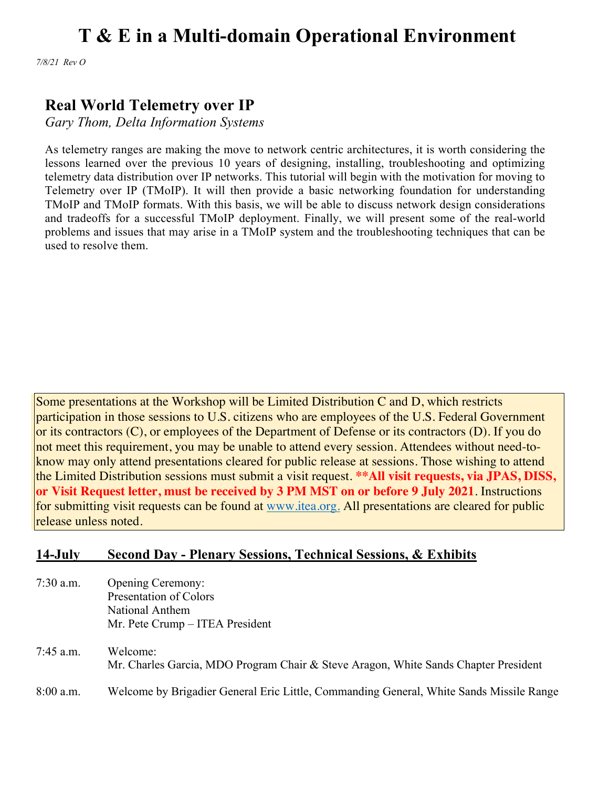*7/8/21 Rev O*

## **Real World Telemetry over IP**

*Gary Thom, Delta Information Systems*

As telemetry ranges are making the move to network centric architectures, it is worth considering the lessons learned over the previous 10 years of designing, installing, troubleshooting and optimizing telemetry data distribution over IP networks. This tutorial will begin with the motivation for moving to Telemetry over IP (TMoIP). It will then provide a basic networking foundation for understanding TMoIP and TMoIP formats. With this basis, we will be able to discuss network design considerations and tradeoffs for a successful TMoIP deployment. Finally, we will present some of the real-world problems and issues that may arise in a TMoIP system and the troubleshooting techniques that can be used to resolve them.

Some presentations at the Workshop will be Limited Distribution C and D, which restricts participation in those sessions to U.S. citizens who are employees of the U.S. Federal Government or its contractors (C), or employees of the Department of Defense or its contractors (D). If you do not meet this requirement, you may be unable to attend every session. Attendees without need-toknow may only attend presentations cleared for public release at sessions. Those wishing to attend the Limited Distribution sessions must submit a visit request. **\*\*All visit requests, via JPAS, DISS, or Visit Request letter, must be received by 3 PM MST on or before 9 July 2021**. Instructions for submitting visit requests can be found at www.itea.org. All presentations are cleared for public release unless noted.

#### **14-July Second Day - Plenary Sessions, Technical Sessions, & Exhibits**

- 7:30 a.m. Opening Ceremony: Presentation of Colors National Anthem Mr. Pete Crump – ITEA President
- 7:45 a.m. Welcome: Mr. Charles Garcia, MDO Program Chair & Steve Aragon, White Sands Chapter President 8:00 a.m. Welcome by Brigadier General Eric Little, Commanding General, White Sands Missile Range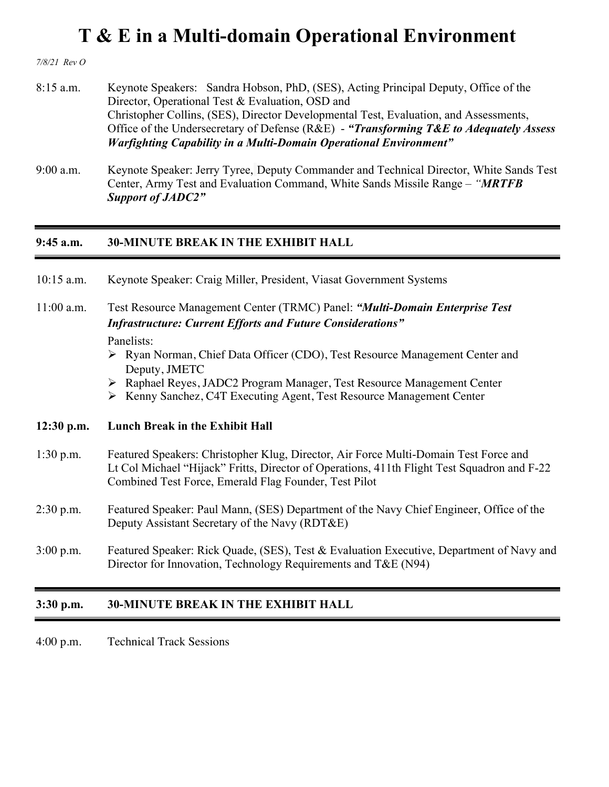*7/8/21 Rev O*

- 8:15 a.m. Keynote Speakers: Sandra Hobson, PhD, (SES), Acting Principal Deputy, Office of the Director, Operational Test & Evaluation, OSD and Christopher Collins, (SES), Director Developmental Test, Evaluation, and Assessments, Office of the Undersecretary of Defense (R&E) - *"Transforming T&E to Adequately Assess Warfighting Capability in a Multi-Domain Operational Environment"*
- 9:00 a.m. Keynote Speaker: Jerry Tyree, Deputy Commander and Technical Director, White Sands Test Center, Army Test and Evaluation Command, White Sands Missile Range – *"MRTFB Support of JADC2"*

#### **9:45 a.m. 30-MINUTE BREAK IN THE EXHIBIT HALL**

- 10:15 a.m. Keynote Speaker: Craig Miller, President, Viasat Government Systems
- 11:00 a.m. Test Resource Management Center (TRMC) Panel: *"Multi-Domain Enterprise Test Infrastructure: Current Efforts and Future Considerations"*

#### Panelists:

- Ø Ryan Norman, Chief Data Officer (CDO), Test Resource Management Center and Deputy, JMETC
- Ø Raphael Reyes, JADC2 Program Manager, Test Resource Management Center
- Ø Kenny Sanchez, C4T Executing Agent, Test Resource Management Center

#### **12:30 p.m. Lunch Break in the Exhibit Hall**

- 1:30 p.m. Featured Speakers: Christopher Klug, Director, Air Force Multi-Domain Test Force and Lt Col Michael "Hijack" Fritts, Director of Operations, 411th Flight Test Squadron and F-22 Combined Test Force, Emerald Flag Founder, Test Pilot
- 2:30 p.m. Featured Speaker: Paul Mann, (SES) Department of the Navy Chief Engineer, Office of the Deputy Assistant Secretary of the Navy (RDT&E)
- 3:00 p.m. Featured Speaker: Rick Quade, (SES), Test & Evaluation Executive, Department of Navy and Director for Innovation, Technology Requirements and T&E (N94)

#### **3:30 p.m. 30-MINUTE BREAK IN THE EXHIBIT HALL**

4:00 p.m. Technical Track Sessions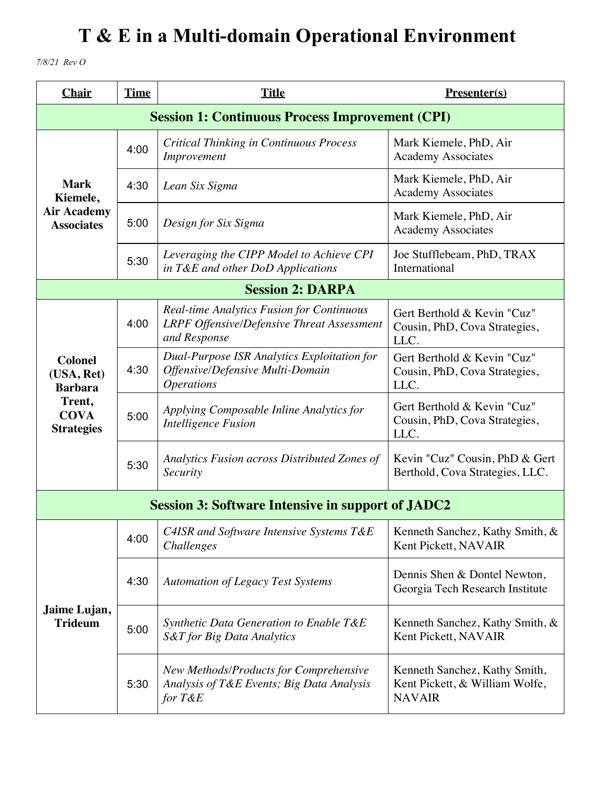*7/8/21 Rev O*

| <b>Chair</b>                                                                                 | <b>Time</b>                                            | <b>Title</b>                                                                                                          | Presenter(s)                                                                     |  |
|----------------------------------------------------------------------------------------------|--------------------------------------------------------|-----------------------------------------------------------------------------------------------------------------------|----------------------------------------------------------------------------------|--|
|                                                                                              | <b>Session 1: Continuous Process Improvement (CPI)</b> |                                                                                                                       |                                                                                  |  |
| <b>Mark</b><br>Kiemele,<br><b>Air Academy</b><br><b>Associates</b>                           | 4:00                                                   | <b>Critical Thinking in Continuous Process</b><br>Improvement                                                         | Mark Kiemele, PhD, Air<br><b>Academy Associates</b>                              |  |
|                                                                                              | 4:30                                                   | Lean Six Sigma                                                                                                        | Mark Kiemele, PhD, Air<br><b>Academy Associates</b>                              |  |
|                                                                                              | 5:00                                                   | Design for Six Sigma                                                                                                  | Mark Kiemele, PhD, Air<br><b>Academy Associates</b>                              |  |
|                                                                                              | 5:30                                                   | Leveraging the CIPP Model to Achieve CPI<br>in T&E and other DoD Applications                                         | Joe Stufflebeam, PhD, TRAX<br>International                                      |  |
|                                                                                              |                                                        | <b>Session 2: DARPA</b>                                                                                               |                                                                                  |  |
| <b>Colonel</b><br>(USA, Ret)<br><b>Barbara</b><br>Trent,<br><b>COVA</b><br><b>Strategies</b> | 4:00                                                   | <b>Real-time Analytics Fusion for Continuous</b><br><b>LRPF Offensive/Defensive Threat Assessment</b><br>and Response | Gert Berthold & Kevin "Cuz"<br>Cousin, PhD, Cova Strategies,<br>LLC.             |  |
|                                                                                              | 4:30                                                   | Dual-Purpose ISR Analytics Exploitation for<br>Offensive/Defensive Multi-Domain<br><i><b>Operations</b></i>           | Gert Berthold & Kevin "Cuz"<br>Cousin, PhD, Cova Strategies,<br>LLC.             |  |
|                                                                                              | 5:00                                                   | Applying Composable Inline Analytics for<br>Intelligence Fusion                                                       | Gert Berthold & Kevin "Cuz"<br>Cousin, PhD, Cova Strategies,<br>LLC.             |  |
|                                                                                              | 5:30                                                   | Analytics Fusion across Distributed Zones of<br>Security                                                              | Kevin "Cuz" Cousin, PhD & Gert<br>Berthold, Cova Strategies, LLC.                |  |
|                                                                                              |                                                        | <b>Session 3: Software Intensive in support of JADC2</b>                                                              |                                                                                  |  |
| Jaime Lujan,<br><b>Trideum</b>                                                               | 4:00                                                   | C4ISR and Software Intensive Systems T&E<br><i>Challenges</i>                                                         | Kenneth Sanchez, Kathy Smith, &<br>Kent Pickett, NAVAIR                          |  |
|                                                                                              | 4:30                                                   | <b>Automation of Legacy Test Systems</b>                                                                              | Dennis Shen & Dontel Newton,<br>Georgia Tech Research Institute                  |  |
|                                                                                              | 5:00                                                   | Synthetic Data Generation to Enable T&E<br>S&T for Big Data Analytics                                                 | Kenneth Sanchez, Kathy Smith, &<br>Kent Pickett, NAVAIR                          |  |
|                                                                                              | 5:30                                                   | New Methods/Products for Comprehensive<br>Analysis of T&E Events; Big Data Analysis<br>for $T\&E$                     | Kenneth Sanchez, Kathy Smith,<br>Kent Pickett, & William Wolfe,<br><b>NAVAIR</b> |  |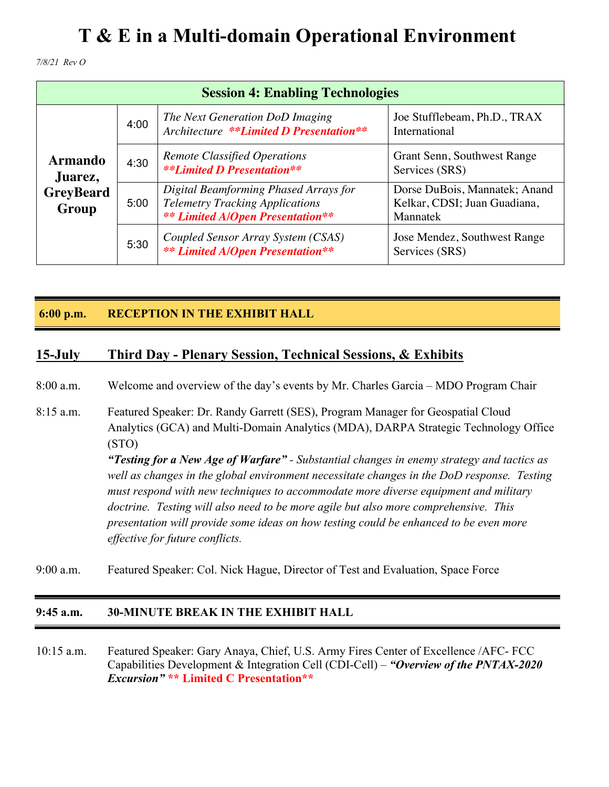*7/8/21 Rev O*

| <b>Session 4: Enabling Technologies</b>                |      |                                                                                                                            |                                                                           |
|--------------------------------------------------------|------|----------------------------------------------------------------------------------------------------------------------------|---------------------------------------------------------------------------|
| <b>Armando</b><br>Juarez,<br><b>GreyBeard</b><br>Group | 4:00 | The Next Generation DoD Imaging<br>Architecture **Limited D Presentation**                                                 | Joe Stufflebeam, Ph.D., TRAX<br>International                             |
|                                                        | 4:30 | <b>Remote Classified Operations</b><br><b>**Limited D Presentation**</b>                                                   | Grant Senn, Southwest Range<br>Services (SRS)                             |
|                                                        | 5:00 | Digital Beamforming Phased Arrays for<br><b>Telemetry Tracking Applications</b><br><b>**</b> Limited A/Open Presentation** | Dorse DuBois, Mannatek; Anand<br>Kelkar, CDSI; Juan Guadiana,<br>Mannatek |
|                                                        | 5:30 | Coupled Sensor Array System (CSAS)<br><b>**</b> Limited A/Open Presentation**                                              | Jose Mendez, Southwest Range<br>Services (SRS)                            |

#### **6:00 p.m. RECEPTION IN THE EXHIBIT HALL**

#### **15-July Third Day - Plenary Session, Technical Sessions, & Exhibits**

8:00 a.m. Welcome and overview of the day's events by Mr. Charles Garcia – MDO Program Chair

8:15 a.m. Featured Speaker: Dr. Randy Garrett (SES), Program Manager for Geospatial Cloud Analytics (GCA) and Multi-Domain Analytics (MDA), DARPA Strategic Technology Office (STO) *"Testing for a New Age of Warfare" - Substantial changes in enemy strategy and tactics as well as changes in the global environment necessitate changes in the DoD response. Testing must respond with new techniques to accommodate more diverse equipment and military* 

> *doctrine. Testing will also need to be more agile but also more comprehensive. This presentation will provide some ideas on how testing could be enhanced to be even more effective for future conflicts.*

9:00 a.m. Featured Speaker: Col. Nick Hague, Director of Test and Evaluation, Space Force

#### **9:45 a.m. 30-MINUTE BREAK IN THE EXHIBIT HALL**

10:15 a.m. Featured Speaker: Gary Anaya, Chief, U.S. Army Fires Center of Excellence /AFC- FCC Capabilities Development & Integration Cell (CDI-Cell) – *"Overview of the PNTAX-2020 Excursion"* **\*\* Limited C Presentation\*\***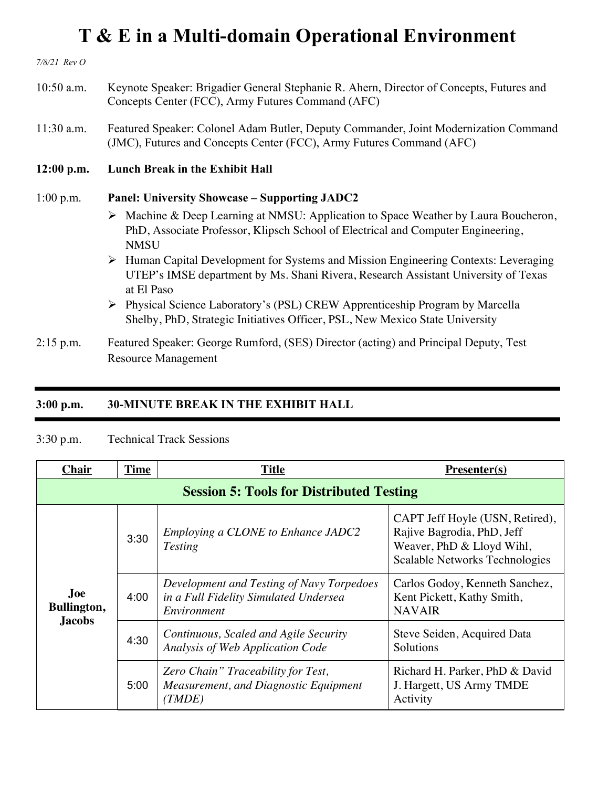*7/8/21 Rev O*

- 10:50 a.m. Keynote Speaker: Brigadier General Stephanie R. Ahern, Director of Concepts, Futures and Concepts Center (FCC), Army Futures Command (AFC)
- 11:30 a.m. Featured Speaker: Colonel Adam Butler, Deputy Commander, Joint Modernization Command (JMC), Futures and Concepts Center (FCC), Army Futures Command (AFC)
- **12:00 p.m. Lunch Break in the Exhibit Hall**

#### 1:00 p.m. **Panel: University Showcase – Supporting JADC2**

- Ø Machine & Deep Learning at NMSU: Application to Space Weather by Laura Boucheron, PhD, Associate Professor, Klipsch School of Electrical and Computer Engineering, **NMSU**
- Ø Human Capital Development for Systems and Mission Engineering Contexts: Leveraging UTEP's IMSE department by Ms. Shani Rivera, Research Assistant University of Texas at El Paso
- Ø Physical Science Laboratory's (PSL) CREW Apprenticeship Program by Marcella Shelby, PhD, Strategic Initiatives Officer, PSL, New Mexico State University
- 2:15 p.m. Featured Speaker: George Rumford, (SES) Director (acting) and Principal Deputy, Test Resource Management

#### **3:00 p.m. 30-MINUTE BREAK IN THE EXHIBIT HALL**

#### 3:30 p.m. Technical Track Sessions

| <b>Chair</b>                                    | <b>Time</b> | <b>Title</b>                                                                                      | $Presenter(s)$                                                                                                               |
|-------------------------------------------------|-------------|---------------------------------------------------------------------------------------------------|------------------------------------------------------------------------------------------------------------------------------|
| <b>Session 5: Tools for Distributed Testing</b> |             |                                                                                                   |                                                                                                                              |
| <b>Joe</b><br>Bullington,<br><b>Jacobs</b>      | 3:30        | Employing a CLONE to Enhance JADC2<br><b>Testing</b>                                              | CAPT Jeff Hoyle (USN, Retired),<br>Rajive Bagrodia, PhD, Jeff<br>Weaver, PhD & Lloyd Wihl,<br>Scalable Networks Technologies |
|                                                 | 4:00        | Development and Testing of Navy Torpedoes<br>in a Full Fidelity Simulated Undersea<br>Environment | Carlos Godoy, Kenneth Sanchez,<br>Kent Pickett, Kathy Smith,<br><b>NAVAIR</b>                                                |
|                                                 | 4:30        | Continuous, Scaled and Agile Security<br>Analysis of Web Application Code                         | Steve Seiden, Acquired Data<br>Solutions                                                                                     |
|                                                 | 5:00        | Zero Chain" Traceability for Test,<br>Measurement, and Diagnostic Equipment<br>(TMDE)             | Richard H. Parker, PhD & David<br>J. Hargett, US Army TMDE<br>Activity                                                       |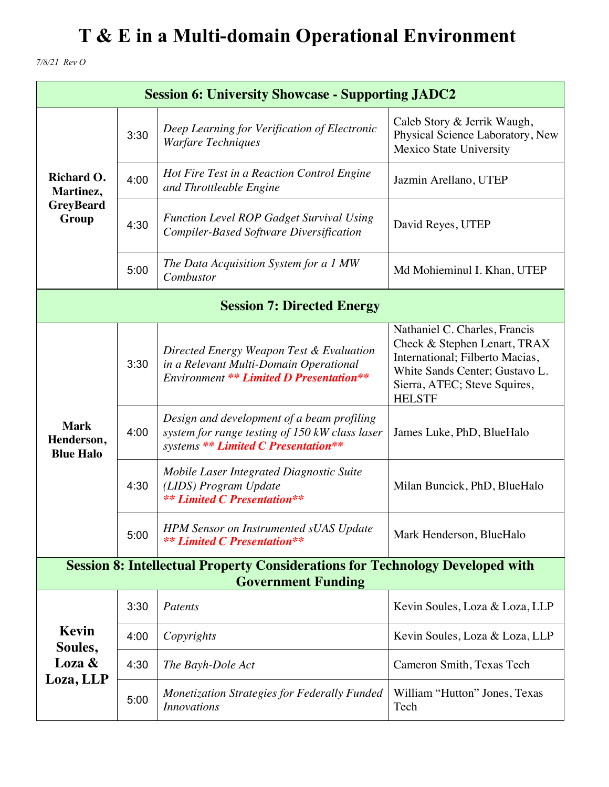*7/8/21 Rev O*

| <b>Session 6: University Showcase - Supporting JADC2</b>                                                          |      |                                                                                                                                      |                                                                                                                                                                                     |
|-------------------------------------------------------------------------------------------------------------------|------|--------------------------------------------------------------------------------------------------------------------------------------|-------------------------------------------------------------------------------------------------------------------------------------------------------------------------------------|
| Richard O.<br>Martinez,<br><b>GreyBeard</b><br>Group                                                              | 3:30 | Deep Learning for Verification of Electronic<br><b>Warfare Techniques</b>                                                            | Caleb Story & Jerrik Waugh,<br>Physical Science Laboratory, New<br><b>Mexico State University</b>                                                                                   |
|                                                                                                                   | 4:00 | Hot Fire Test in a Reaction Control Engine<br>and Throttleable Engine                                                                | Jazmin Arellano, UTEP                                                                                                                                                               |
|                                                                                                                   | 4:30 | <b>Function Level ROP Gadget Survival Using</b><br><b>Compiler-Based Software Diversification</b>                                    | David Reyes, UTEP                                                                                                                                                                   |
|                                                                                                                   | 5:00 | The Data Acquisition System for a 1 MW<br>Combustor                                                                                  | Md Mohieminul I. Khan, UTEP                                                                                                                                                         |
| <b>Session 7: Directed Energy</b>                                                                                 |      |                                                                                                                                      |                                                                                                                                                                                     |
| <b>Mark</b><br>Henderson,<br><b>Blue Halo</b>                                                                     | 3:30 | Directed Energy Weapon Test & Evaluation<br>in a Relevant Multi-Domain Operational<br><b>Environment ** Limited D Presentation**</b> | Nathaniel C. Charles, Francis<br>Check & Stephen Lenart, TRAX<br>International; Filberto Macias,<br>White Sands Center; Gustavo L.<br>Sierra, ATEC; Steve Squires,<br><b>HELSTF</b> |
|                                                                                                                   | 4:00 | Design and development of a beam profiling<br>system for range testing of 150 kW class laser<br>systems ** Limited C Presentation**  | James Luke, PhD, BlueHalo                                                                                                                                                           |
|                                                                                                                   | 4:30 | Mobile Laser Integrated Diagnostic Suite<br>(LIDS) Program Update<br><b>**</b> Limited C Presentation**                              | Milan Buncick, PhD, BlueHalo                                                                                                                                                        |
|                                                                                                                   | 5:00 | HPM Sensor on Instrumented sUAS Update<br><b>**</b> Limited C Presentation**                                                         | Mark Henderson, BlueHalo                                                                                                                                                            |
| <b>Session 8: Intellectual Property Considerations for Technology Developed with</b><br><b>Government Funding</b> |      |                                                                                                                                      |                                                                                                                                                                                     |
| Kevin<br>Soules,<br>Loza &<br>Loza, LLP                                                                           | 3:30 | Patents                                                                                                                              | Kevin Soules, Loza & Loza, LLP                                                                                                                                                      |
|                                                                                                                   | 4:00 | Copyrights                                                                                                                           | Kevin Soules, Loza & Loza, LLP                                                                                                                                                      |
|                                                                                                                   | 4:30 | The Bayh-Dole Act                                                                                                                    | Cameron Smith, Texas Tech                                                                                                                                                           |
|                                                                                                                   | 5:00 | <b>Monetization Strategies for Federally Funded</b><br><i>Innovations</i>                                                            | William "Hutton" Jones, Texas<br>Tech                                                                                                                                               |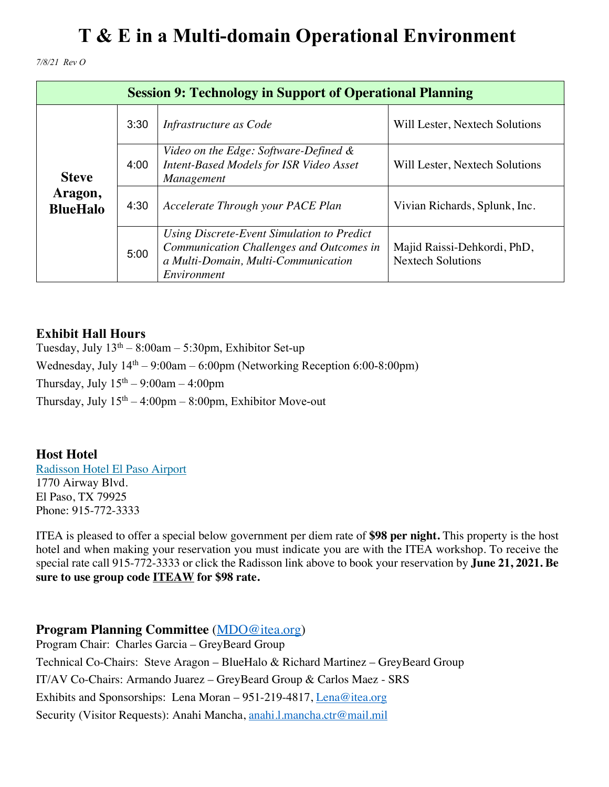*7/8/21 Rev O*

| <b>Session 9: Technology in Support of Operational Planning</b> |      |                                                                                                                                                     |                                                         |
|-----------------------------------------------------------------|------|-----------------------------------------------------------------------------------------------------------------------------------------------------|---------------------------------------------------------|
| <b>Steve</b><br>Aragon,<br><b>BlueHalo</b>                      | 3:30 | Infrastructure as Code                                                                                                                              | Will Lester, Nextech Solutions                          |
|                                                                 | 4:00 | Video on the Edge: Software-Defined &<br>Intent-Based Models for ISR Video Asset<br><i>Management</i>                                               | Will Lester, Nextech Solutions                          |
|                                                                 | 4:30 | Accelerate Through your PACE Plan                                                                                                                   | Vivian Richards, Splunk, Inc.                           |
|                                                                 | 5:00 | <b>Using Discrete-Event Simulation to Predict</b><br>Communication Challenges and Outcomes in<br>a Multi-Domain, Multi-Communication<br>Environment | Majid Raissi-Dehkordi, PhD,<br><b>Nextech Solutions</b> |

### **Exhibit Hall Hours**

Tuesday, July  $13<sup>th</sup> - 8:00am - 5:30pm$ , Exhibitor Set-up Wednesday, July  $14<sup>th</sup> - 9:00$ am – 6:00pm (Networking Reception 6:00-8:00pm) Thursday, July  $15<sup>th</sup> - 9:00$ am  $-4:00$ pm Thursday, July  $15<sup>th</sup> - 4:00<sub>pm</sub> - 8:00<sub>pm</sub>$ , Exhibitor Move-out

### **Host Hotel**

Radisson Hotel El Paso Airport 1770 Airway Blvd. El Paso, TX 79925 Phone: 915-772-3333

ITEA is pleased to offer a special below government per diem rate of **\$98 per night.** This property is the host hotel and when making your reservation you must indicate you are with the ITEA workshop. To receive the special rate call 915-772-3333 or click the Radisson link above to book your reservation by **June 21, 2021. Be sure to use group code ITEAW for \$98 rate.**

### **Program Planning Committee** (MDO@itea.org)

Program Chair: Charles Garcia – GreyBeard Group Technical Co-Chairs: Steve Aragon – BlueHalo & Richard Martinez – GreyBeard Group IT/AV Co-Chairs: Armando Juarez – GreyBeard Group & Carlos Maez - SRS Exhibits and Sponsorships: Lena Moran – 951-219-4817, Lena@itea.org Security (Visitor Requests): Anahi Mancha, anahi.l.mancha.ctr@mail.mil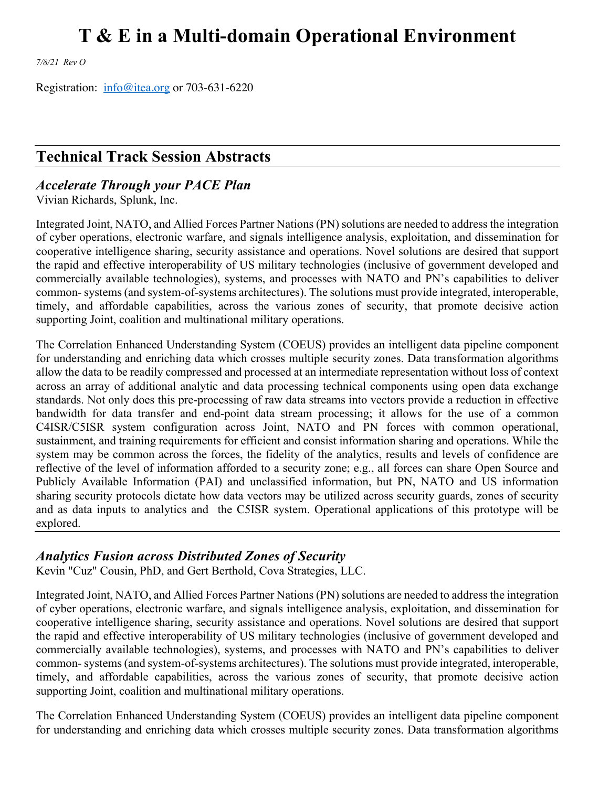*7/8/21 Rev O*

Registration: info@itea.org or 703-631-6220

### **Technical Track Session Abstracts**

#### *Accelerate Through your PACE Plan*

Vivian Richards, Splunk, Inc.

Integrated Joint, NATO, and Allied Forces Partner Nations (PN) solutions are needed to address the integration of cyber operations, electronic warfare, and signals intelligence analysis, exploitation, and dissemination for cooperative intelligence sharing, security assistance and operations. Novel solutions are desired that support the rapid and effective interoperability of US military technologies (inclusive of government developed and commercially available technologies), systems, and processes with NATO and PN's capabilities to deliver common- systems (and system-of-systems architectures). The solutions must provide integrated, interoperable, timely, and affordable capabilities, across the various zones of security, that promote decisive action supporting Joint, coalition and multinational military operations.

The Correlation Enhanced Understanding System (COEUS) provides an intelligent data pipeline component for understanding and enriching data which crosses multiple security zones. Data transformation algorithms allow the data to be readily compressed and processed at an intermediate representation without loss of context across an array of additional analytic and data processing technical components using open data exchange standards. Not only does this pre-processing of raw data streams into vectors provide a reduction in effective bandwidth for data transfer and end-point data stream processing; it allows for the use of a common C4ISR/C5ISR system configuration across Joint, NATO and PN forces with common operational, sustainment, and training requirements for efficient and consist information sharing and operations. While the system may be common across the forces, the fidelity of the analytics, results and levels of confidence are reflective of the level of information afforded to a security zone; e.g., all forces can share Open Source and Publicly Available Information (PAI) and unclassified information, but PN, NATO and US information sharing security protocols dictate how data vectors may be utilized across security guards, zones of security and as data inputs to analytics and the C5ISR system. Operational applications of this prototype will be explored.

#### *Analytics Fusion across Distributed Zones of Security*

Kevin "Cuz" Cousin, PhD, and Gert Berthold, Cova Strategies, LLC.

Integrated Joint, NATO, and Allied Forces Partner Nations (PN) solutions are needed to address the integration of cyber operations, electronic warfare, and signals intelligence analysis, exploitation, and dissemination for cooperative intelligence sharing, security assistance and operations. Novel solutions are desired that support the rapid and effective interoperability of US military technologies (inclusive of government developed and commercially available technologies), systems, and processes with NATO and PN's capabilities to deliver common- systems (and system-of-systems architectures). The solutions must provide integrated, interoperable, timely, and affordable capabilities, across the various zones of security, that promote decisive action supporting Joint, coalition and multinational military operations.

The Correlation Enhanced Understanding System (COEUS) provides an intelligent data pipeline component for understanding and enriching data which crosses multiple security zones. Data transformation algorithms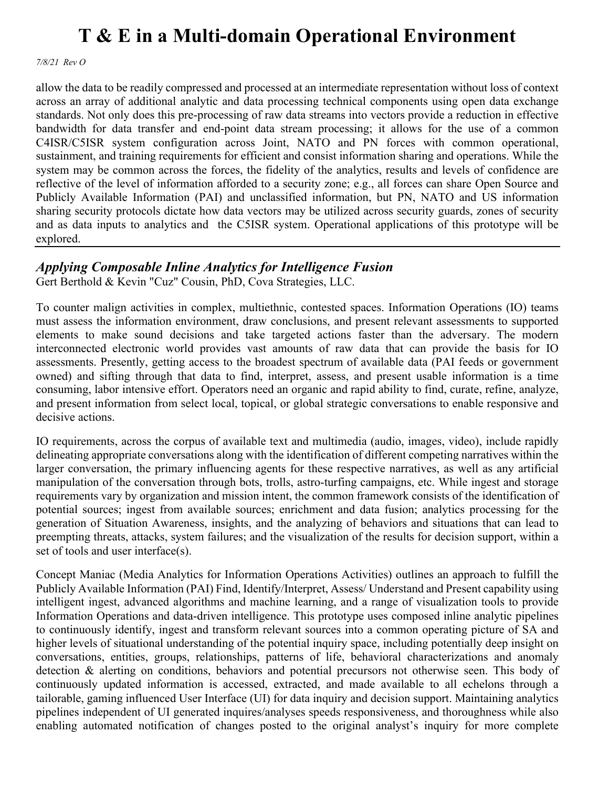*7/8/21 Rev O*

allow the data to be readily compressed and processed at an intermediate representation without loss of context across an array of additional analytic and data processing technical components using open data exchange standards. Not only does this pre-processing of raw data streams into vectors provide a reduction in effective bandwidth for data transfer and end-point data stream processing; it allows for the use of a common C4ISR/C5ISR system configuration across Joint, NATO and PN forces with common operational, sustainment, and training requirements for efficient and consist information sharing and operations. While the system may be common across the forces, the fidelity of the analytics, results and levels of confidence are reflective of the level of information afforded to a security zone; e.g., all forces can share Open Source and Publicly Available Information (PAI) and unclassified information, but PN, NATO and US information sharing security protocols dictate how data vectors may be utilized across security guards, zones of security and as data inputs to analytics and the C5ISR system. Operational applications of this prototype will be explored.

### *Applying Composable Inline Analytics for Intelligence Fusion*

Gert Berthold & Kevin "Cuz" Cousin, PhD, Cova Strategies, LLC.

To counter malign activities in complex, multiethnic, contested spaces. Information Operations (IO) teams must assess the information environment, draw conclusions, and present relevant assessments to supported elements to make sound decisions and take targeted actions faster than the adversary. The modern interconnected electronic world provides vast amounts of raw data that can provide the basis for IO assessments. Presently, getting access to the broadest spectrum of available data (PAI feeds or government owned) and sifting through that data to find, interpret, assess, and present usable information is a time consuming, labor intensive effort. Operators need an organic and rapid ability to find, curate, refine, analyze, and present information from select local, topical, or global strategic conversations to enable responsive and decisive actions.

IO requirements, across the corpus of available text and multimedia (audio, images, video), include rapidly delineating appropriate conversations along with the identification of different competing narratives within the larger conversation, the primary influencing agents for these respective narratives, as well as any artificial manipulation of the conversation through bots, trolls, astro-turfing campaigns, etc. While ingest and storage requirements vary by organization and mission intent, the common framework consists of the identification of potential sources; ingest from available sources; enrichment and data fusion; analytics processing for the generation of Situation Awareness, insights, and the analyzing of behaviors and situations that can lead to preempting threats, attacks, system failures; and the visualization of the results for decision support, within a set of tools and user interface(s).

Concept Maniac (Media Analytics for Information Operations Activities) outlines an approach to fulfill the Publicly Available Information (PAI) Find, Identify/Interpret, Assess/ Understand and Present capability using intelligent ingest, advanced algorithms and machine learning, and a range of visualization tools to provide Information Operations and data-driven intelligence. This prototype uses composed inline analytic pipelines to continuously identify, ingest and transform relevant sources into a common operating picture of SA and higher levels of situational understanding of the potential inquiry space, including potentially deep insight on conversations, entities, groups, relationships, patterns of life, behavioral characterizations and anomaly detection & alerting on conditions, behaviors and potential precursors not otherwise seen. This body of continuously updated information is accessed, extracted, and made available to all echelons through a tailorable, gaming influenced User Interface (UI) for data inquiry and decision support. Maintaining analytics pipelines independent of UI generated inquires/analyses speeds responsiveness, and thoroughness while also enabling automated notification of changes posted to the original analyst's inquiry for more complete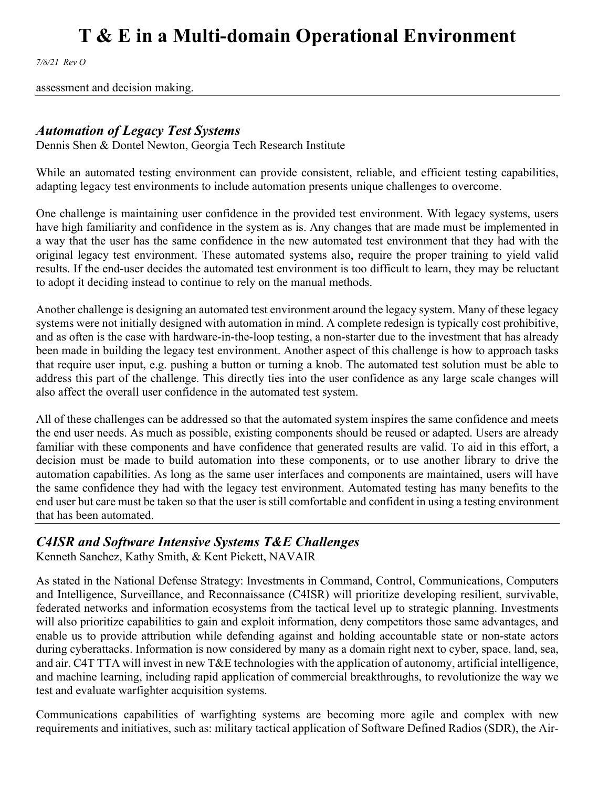*7/8/21 Rev O*

assessment and decision making.

#### *Automation of Legacy Test Systems*

Dennis Shen & Dontel Newton, Georgia Tech Research Institute

While an automated testing environment can provide consistent, reliable, and efficient testing capabilities, adapting legacy test environments to include automation presents unique challenges to overcome.

One challenge is maintaining user confidence in the provided test environment. With legacy systems, users have high familiarity and confidence in the system as is. Any changes that are made must be implemented in a way that the user has the same confidence in the new automated test environment that they had with the original legacy test environment. These automated systems also, require the proper training to yield valid results. If the end-user decides the automated test environment is too difficult to learn, they may be reluctant to adopt it deciding instead to continue to rely on the manual methods.

Another challenge is designing an automated test environment around the legacy system. Many of these legacy systems were not initially designed with automation in mind. A complete redesign is typically cost prohibitive, and as often is the case with hardware-in-the-loop testing, a non-starter due to the investment that has already been made in building the legacy test environment. Another aspect of this challenge is how to approach tasks that require user input, e.g. pushing a button or turning a knob. The automated test solution must be able to address this part of the challenge. This directly ties into the user confidence as any large scale changes will also affect the overall user confidence in the automated test system.

All of these challenges can be addressed so that the automated system inspires the same confidence and meets the end user needs. As much as possible, existing components should be reused or adapted. Users are already familiar with these components and have confidence that generated results are valid. To aid in this effort, a decision must be made to build automation into these components, or to use another library to drive the automation capabilities. As long as the same user interfaces and components are maintained, users will have the same confidence they had with the legacy test environment. Automated testing has many benefits to the end user but care must be taken so that the user is still comfortable and confident in using a testing environment that has been automated.

#### *C4ISR and Software Intensive Systems T&E Challenges*

Kenneth Sanchez, Kathy Smith, & Kent Pickett, NAVAIR

As stated in the National Defense Strategy: Investments in Command, Control, Communications, Computers and Intelligence, Surveillance, and Reconnaissance (C4ISR) will prioritize developing resilient, survivable, federated networks and information ecosystems from the tactical level up to strategic planning. Investments will also prioritize capabilities to gain and exploit information, deny competitors those same advantages, and enable us to provide attribution while defending against and holding accountable state or non-state actors during cyberattacks. Information is now considered by many as a domain right next to cyber, space, land, sea, and air. C4T TTA will invest in new T&E technologies with the application of autonomy, artificial intelligence, and machine learning, including rapid application of commercial breakthroughs, to revolutionize the way we test and evaluate warfighter acquisition systems.

Communications capabilities of warfighting systems are becoming more agile and complex with new requirements and initiatives, such as: military tactical application of Software Defined Radios (SDR), the Air-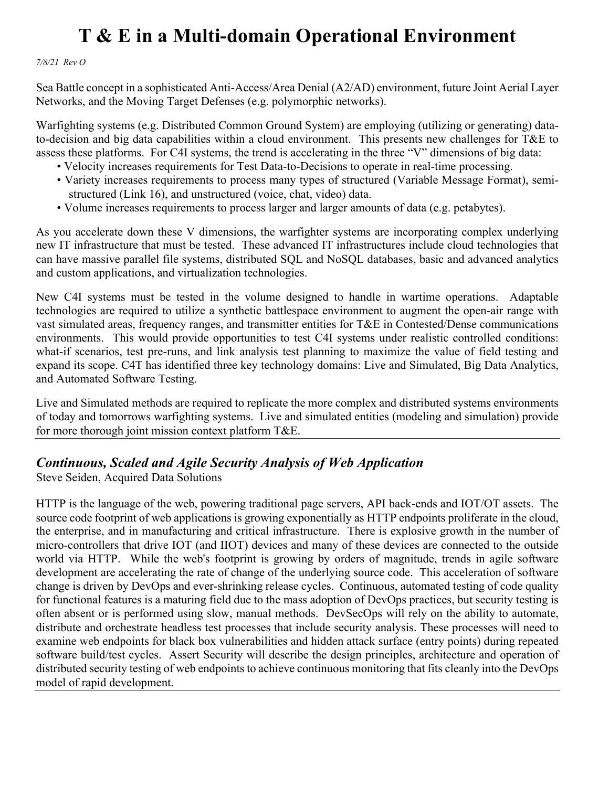*7/8/21 Rev O*

Sea Battle concept in a sophisticated Anti-Access/Area Denial (A2/AD) environment, future Joint Aerial Layer Networks, and the Moving Target Defenses (e.g. polymorphic networks).

Warfighting systems (e.g. Distributed Common Ground System) are employing (utilizing or generating) datato-decision and big data capabilities within a cloud environment. This presents new challenges for T&E to assess these platforms. For C4I systems, the trend is accelerating in the three "V" dimensions of big data:

- Velocity increases requirements for Test Data-to-Decisions to operate in real-time processing.
- Variety increases requirements to process many types of structured (Variable Message Format), semi structured (Link 16), and unstructured (voice, chat, video) data.
- Volume increases requirements to process larger and larger amounts of data (e.g. petabytes).

As you accelerate down these V dimensions, the warfighter systems are incorporating complex underlying new IT infrastructure that must be tested. These advanced IT infrastructures include cloud technologies that can have massive parallel file systems, distributed SQL and NoSQL databases, basic and advanced analytics and custom applications, and virtualization technologies.

New C4I systems must be tested in the volume designed to handle in wartime operations. Adaptable technologies are required to utilize a synthetic battlespace environment to augment the open-air range with vast simulated areas, frequency ranges, and transmitter entities for T&E in Contested/Dense communications environments. This would provide opportunities to test C4I systems under realistic controlled conditions: what-if scenarios, test pre-runs, and link analysis test planning to maximize the value of field testing and expand its scope. C4T has identified three key technology domains: Live and Simulated, Big Data Analytics, and Automated Software Testing.

Live and Simulated methods are required to replicate the more complex and distributed systems environments of today and tomorrows warfighting systems. Live and simulated entities (modeling and simulation) provide for more thorough joint mission context platform T&E.

### *Continuous, Scaled and Agile Security Analysis of Web Application*

Steve Seiden, Acquired Data Solutions

HTTP is the language of the web, powering traditional page servers, API back-ends and IOT/OT assets. The source code footprint of web applications is growing exponentially as HTTP endpoints proliferate in the cloud, the enterprise, and in manufacturing and critical infrastructure. There is explosive growth in the number of micro-controllers that drive IOT (and IIOT) devices and many of these devices are connected to the outside world via HTTP. While the web's footprint is growing by orders of magnitude, trends in agile software development are accelerating the rate of change of the underlying source code. This acceleration of software change is driven by DevOps and ever-shrinking release cycles. Continuous, automated testing of code quality for functional features is a maturing field due to the mass adoption of DevOps practices, but security testing is often absent or is performed using slow, manual methods. DevSecOps will rely on the ability to automate, distribute and orchestrate headless test processes that include security analysis. These processes will need to examine web endpoints for black box vulnerabilities and hidden attack surface (entry points) during repeated software build/test cycles. Assert Security will describe the design principles, architecture and operation of distributed security testing of web endpoints to achieve continuous monitoring that fits cleanly into the DevOps model of rapid development.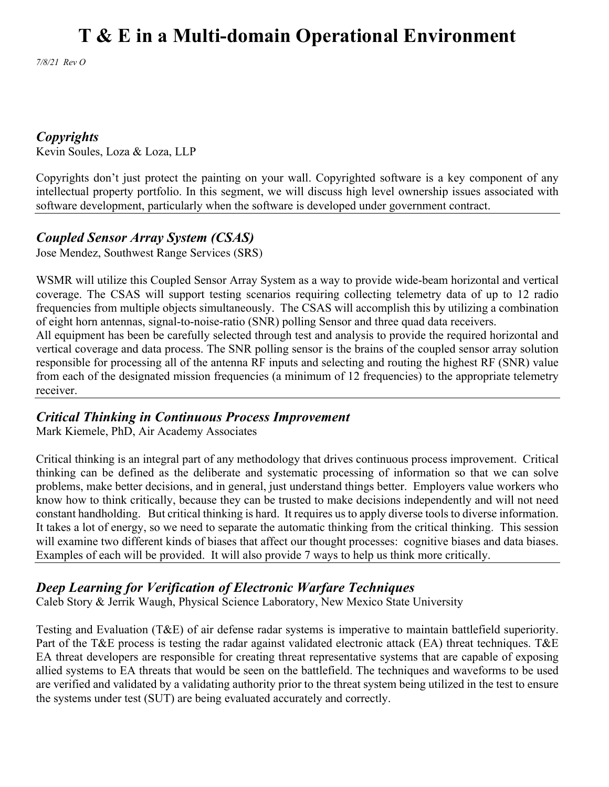*7/8/21 Rev O*

### *Copyrights*

Kevin Soules, Loza & Loza, LLP

Copyrights don't just protect the painting on your wall. Copyrighted software is a key component of any intellectual property portfolio. In this segment, we will discuss high level ownership issues associated with software development, particularly when the software is developed under government contract.

### *Coupled Sensor Array System (CSAS)*

Jose Mendez, Southwest Range Services (SRS)

WSMR will utilize this Coupled Sensor Array System as a way to provide wide-beam horizontal and vertical coverage. The CSAS will support testing scenarios requiring collecting telemetry data of up to 12 radio frequencies from multiple objects simultaneously. The CSAS will accomplish this by utilizing a combination of eight horn antennas, signal-to-noise-ratio (SNR) polling Sensor and three quad data receivers. All equipment has been be carefully selected through test and analysis to provide the required horizontal and vertical coverage and data process. The SNR polling sensor is the brains of the coupled sensor array solution responsible for processing all of the antenna RF inputs and selecting and routing the highest RF (SNR) value from each of the designated mission frequencies (a minimum of 12 frequencies) to the appropriate telemetry

receiver.

### *Critical Thinking in Continuous Process Improvement*

Mark Kiemele, PhD, Air Academy Associates

Critical thinking is an integral part of any methodology that drives continuous process improvement. Critical thinking can be defined as the deliberate and systematic processing of information so that we can solve problems, make better decisions, and in general, just understand things better. Employers value workers who know how to think critically, because they can be trusted to make decisions independently and will not need constant handholding. But critical thinking is hard. It requires us to apply diverse tools to diverse information. It takes a lot of energy, so we need to separate the automatic thinking from the critical thinking. This session will examine two different kinds of biases that affect our thought processes: cognitive biases and data biases. Examples of each will be provided. It will also provide 7 ways to help us think more critically.

### *Deep Learning for Verification of Electronic Warfare Techniques*

Caleb Story & Jerrik Waugh, Physical Science Laboratory, New Mexico State University

Testing and Evaluation (T&E) of air defense radar systems is imperative to maintain battlefield superiority. Part of the T&E process is testing the radar against validated electronic attack (EA) threat techniques. T&E EA threat developers are responsible for creating threat representative systems that are capable of exposing allied systems to EA threats that would be seen on the battlefield. The techniques and waveforms to be used are verified and validated by a validating authority prior to the threat system being utilized in the test to ensure the systems under test (SUT) are being evaluated accurately and correctly.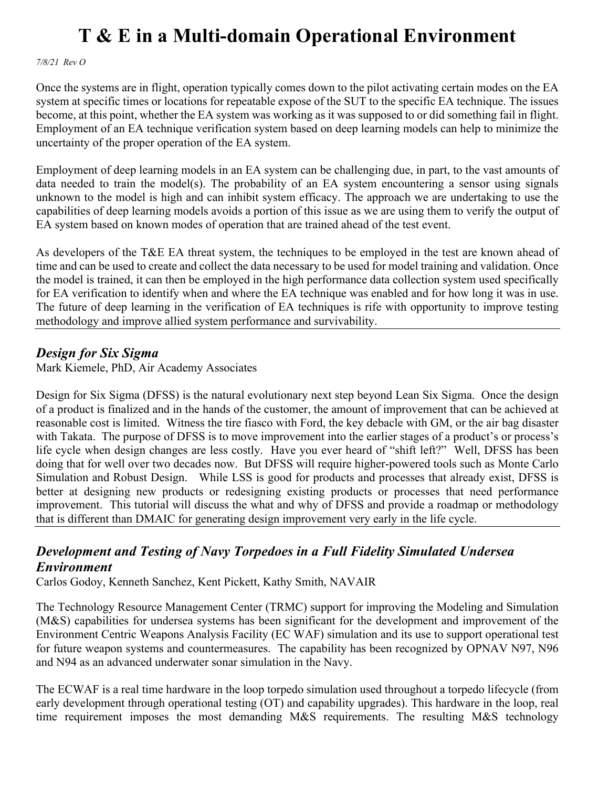*7/8/21 Rev O*

Once the systems are in flight, operation typically comes down to the pilot activating certain modes on the EA system at specific times or locations for repeatable expose of the SUT to the specific EA technique. The issues become, at this point, whether the EA system was working as it was supposed to or did something fail in flight. Employment of an EA technique verification system based on deep learning models can help to minimize the uncertainty of the proper operation of the EA system.

Employment of deep learning models in an EA system can be challenging due, in part, to the vast amounts of data needed to train the model(s). The probability of an EA system encountering a sensor using signals unknown to the model is high and can inhibit system efficacy. The approach we are undertaking to use the capabilities of deep learning models avoids a portion of this issue as we are using them to verify the output of EA system based on known modes of operation that are trained ahead of the test event.

As developers of the T&E EA threat system, the techniques to be employed in the test are known ahead of time and can be used to create and collect the data necessary to be used for model training and validation. Once the model is trained, it can then be employed in the high performance data collection system used specifically for EA verification to identify when and where the EA technique was enabled and for how long it was in use. The future of deep learning in the verification of EA techniques is rife with opportunity to improve testing methodology and improve allied system performance and survivability.

### *Design for Six Sigma*

Mark Kiemele, PhD, Air Academy Associates

Design for Six Sigma (DFSS) is the natural evolutionary next step beyond Lean Six Sigma. Once the design of a product is finalized and in the hands of the customer, the amount of improvement that can be achieved at reasonable cost is limited. Witness the tire fiasco with Ford, the key debacle with GM, or the air bag disaster with Takata. The purpose of DFSS is to move improvement into the earlier stages of a product's or process's life cycle when design changes are less costly. Have you ever heard of "shift left?" Well, DFSS has been doing that for well over two decades now. But DFSS will require higher-powered tools such as Monte Carlo Simulation and Robust Design. While LSS is good for products and processes that already exist, DFSS is better at designing new products or redesigning existing products or processes that need performance improvement. This tutorial will discuss the what and why of DFSS and provide a roadmap or methodology that is different than DMAIC for generating design improvement very early in the life cycle.

### *Development and Testing of Navy Torpedoes in a Full Fidelity Simulated Undersea Environment*

Carlos Godoy, Kenneth Sanchez, Kent Pickett, Kathy Smith, NAVAIR

The Technology Resource Management Center (TRMC) support for improving the Modeling and Simulation (M&S) capabilities for undersea systems has been significant for the development and improvement of the Environment Centric Weapons Analysis Facility (EC WAF) simulation and its use to support operational test for future weapon systems and countermeasures. The capability has been recognized by OPNAV N97, N96 and N94 as an advanced underwater sonar simulation in the Navy.

The ECWAF is a real time hardware in the loop torpedo simulation used throughout a torpedo lifecycle (from early development through operational testing (OT) and capability upgrades). This hardware in the loop, real time requirement imposes the most demanding M&S requirements. The resulting M&S technology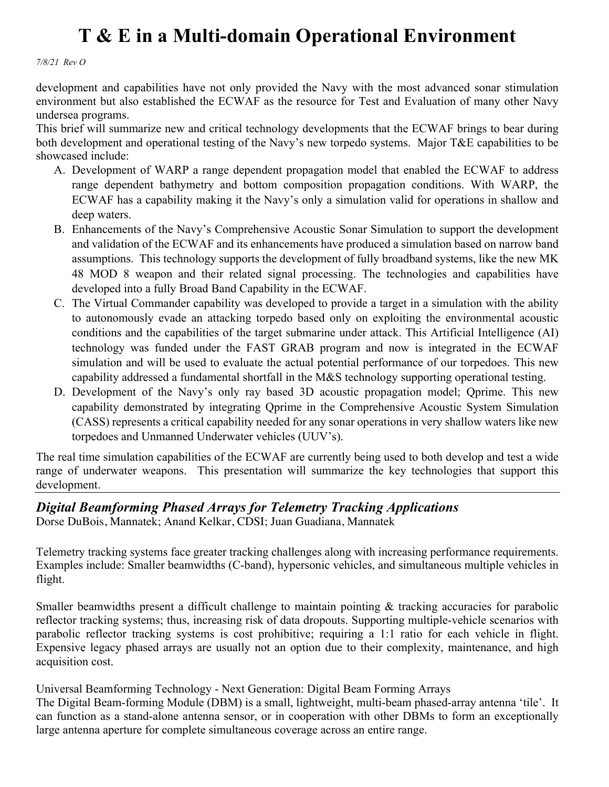*7/8/21 Rev O*

development and capabilities have not only provided the Navy with the most advanced sonar stimulation environment but also established the ECWAF as the resource for Test and Evaluation of many other Navy undersea programs.

This brief will summarize new and critical technology developments that the ECWAF brings to bear during both development and operational testing of the Navy's new torpedo systems. Major T&E capabilities to be showcased include:

- A. Development of WARP a range dependent propagation model that enabled the ECWAF to address range dependent bathymetry and bottom composition propagation conditions. With WARP, the ECWAF has a capability making it the Navy's only a simulation valid for operations in shallow and deep waters.
- B. Enhancements of the Navy's Comprehensive Acoustic Sonar Simulation to support the development and validation of the ECWAF and its enhancements have produced a simulation based on narrow band assumptions. This technology supports the development of fully broadband systems, like the new MK 48 MOD 8 weapon and their related signal processing. The technologies and capabilities have developed into a fully Broad Band Capability in the ECWAF.
- C. The Virtual Commander capability was developed to provide a target in a simulation with the ability to autonomously evade an attacking torpedo based only on exploiting the environmental acoustic conditions and the capabilities of the target submarine under attack. This Artificial Intelligence (AI) technology was funded under the FAST GRAB program and now is integrated in the ECWAF simulation and will be used to evaluate the actual potential performance of our torpedoes. This new capability addressed a fundamental shortfall in the M&S technology supporting operational testing.
- D. Development of the Navy's only ray based 3D acoustic propagation model; Qprime. This new capability demonstrated by integrating Qprime in the Comprehensive Acoustic System Simulation (CASS) represents a critical capability needed for any sonar operations in very shallow waters like new torpedoes and Unmanned Underwater vehicles (UUV's).

The real time simulation capabilities of the ECWAF are currently being used to both develop and test a wide range of underwater weapons. This presentation will summarize the key technologies that support this development.

### *Digital Beamforming Phased Arrays for Telemetry Tracking Applications*

Dorse DuBois, Mannatek; Anand Kelkar, CDSI; Juan Guadiana, Mannatek

Telemetry tracking systems face greater tracking challenges along with increasing performance requirements. Examples include: Smaller beamwidths (C-band), hypersonic vehicles, and simultaneous multiple vehicles in flight.

Smaller beamwidths present a difficult challenge to maintain pointing & tracking accuracies for parabolic reflector tracking systems; thus, increasing risk of data dropouts. Supporting multiple-vehicle scenarios with parabolic reflector tracking systems is cost prohibitive; requiring a 1:1 ratio for each vehicle in flight. Expensive legacy phased arrays are usually not an option due to their complexity, maintenance, and high acquisition cost.

#### Universal Beamforming Technology - Next Generation: Digital Beam Forming Arrays

The Digital Beam-forming Module (DBM) is a small, lightweight, multi-beam phased-array antenna 'tile'. It can function as a stand-alone antenna sensor, or in cooperation with other DBMs to form an exceptionally large antenna aperture for complete simultaneous coverage across an entire range.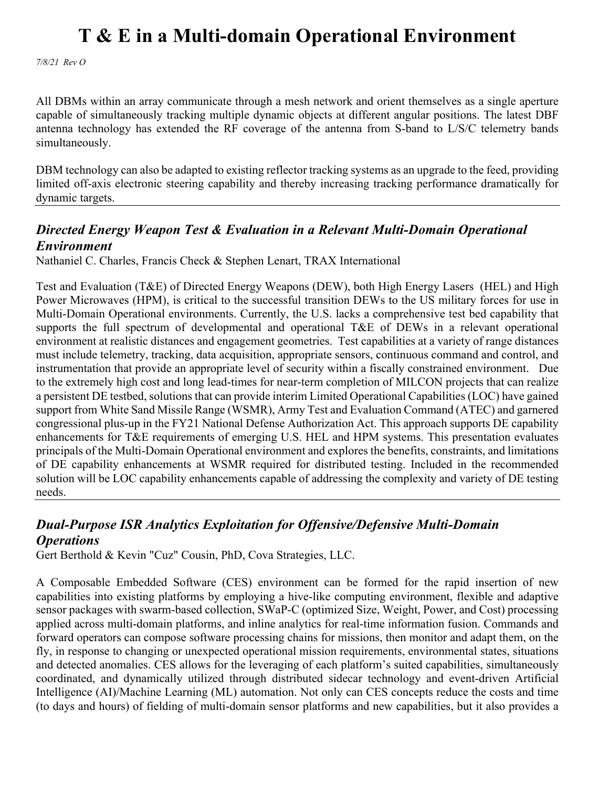*7/8/21 Rev O*

All DBMs within an array communicate through a mesh network and orient themselves as a single aperture capable of simultaneously tracking multiple dynamic objects at different angular positions. The latest DBF antenna technology has extended the RF coverage of the antenna from S-band to L/S/C telemetry bands simultaneously.

DBM technology can also be adapted to existing reflector tracking systems as an upgrade to the feed, providing limited off-axis electronic steering capability and thereby increasing tracking performance dramatically for dynamic targets.

### *Directed Energy Weapon Test & Evaluation in a Relevant Multi-Domain Operational Environment*

Nathaniel C. Charles, Francis Check & Stephen Lenart, TRAX International

Test and Evaluation (T&E) of Directed Energy Weapons (DEW), both High Energy Lasers (HEL) and High Power Microwaves (HPM), is critical to the successful transition DEWs to the US military forces for use in Multi-Domain Operational environments. Currently, the U.S. lacks a comprehensive test bed capability that supports the full spectrum of developmental and operational T&E of DEWs in a relevant operational environment at realistic distances and engagement geometries. Test capabilities at a variety of range distances must include telemetry, tracking, data acquisition, appropriate sensors, continuous command and control, and instrumentation that provide an appropriate level of security within a fiscally constrained environment. Due to the extremely high cost and long lead-times for near-term completion of MILCON projects that can realize a persistent DE testbed, solutions that can provide interim Limited Operational Capabilities (LOC) have gained support from White Sand Missile Range (WSMR), Army Test and Evaluation Command (ATEC) and garnered congressional plus-up in the FY21 National Defense Authorization Act. This approach supports DE capability enhancements for T&E requirements of emerging U.S. HEL and HPM systems. This presentation evaluates principals of the Multi-Domain Operational environment and explores the benefits, constraints, and limitations of DE capability enhancements at WSMR required for distributed testing. Included in the recommended solution will be LOC capability enhancements capable of addressing the complexity and variety of DE testing needs.

### *Dual-Purpose ISR Analytics Exploitation for Offensive/Defensive Multi-Domain Operations*

Gert Berthold & Kevin "Cuz" Cousin, PhD, Cova Strategies, LLC.

A Composable Embedded Software (CES) environment can be formed for the rapid insertion of new capabilities into existing platforms by employing a hive-like computing environment, flexible and adaptive sensor packages with swarm-based collection, SWaP-C (optimized Size, Weight, Power, and Cost) processing applied across multi-domain platforms, and inline analytics for real-time information fusion. Commands and forward operators can compose software processing chains for missions, then monitor and adapt them, on the fly, in response to changing or unexpected operational mission requirements, environmental states, situations and detected anomalies. CES allows for the leveraging of each platform's suited capabilities, simultaneously coordinated, and dynamically utilized through distributed sidecar technology and event-driven Artificial Intelligence (AI)/Machine Learning (ML) automation. Not only can CES concepts reduce the costs and time (to days and hours) of fielding of multi-domain sensor platforms and new capabilities, but it also provides a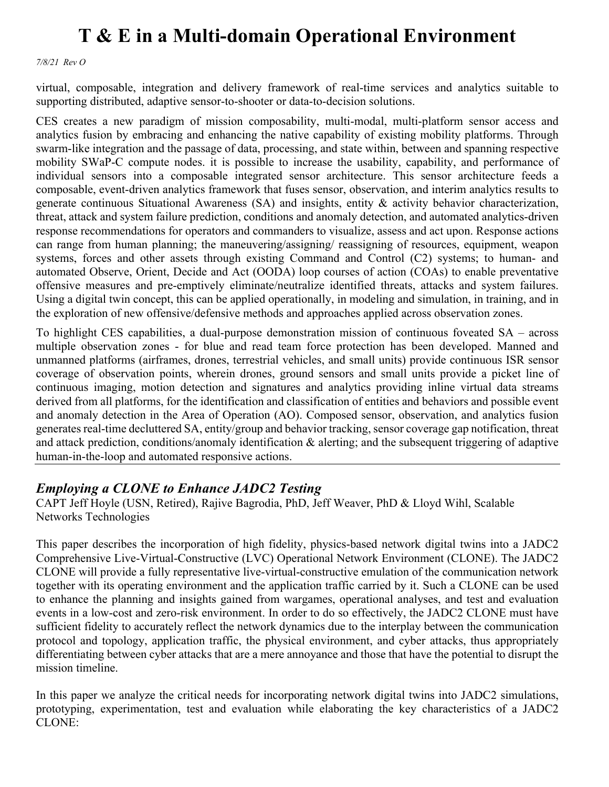*7/8/21 Rev O*

virtual, composable, integration and delivery framework of real-time services and analytics suitable to supporting distributed, adaptive sensor-to-shooter or data-to-decision solutions.

CES creates a new paradigm of mission composability, multi-modal, multi-platform sensor access and analytics fusion by embracing and enhancing the native capability of existing mobility platforms. Through swarm-like integration and the passage of data, processing, and state within, between and spanning respective mobility SWaP-C compute nodes. it is possible to increase the usability, capability, and performance of individual sensors into a composable integrated sensor architecture. This sensor architecture feeds a composable, event-driven analytics framework that fuses sensor, observation, and interim analytics results to generate continuous Situational Awareness (SA) and insights, entity & activity behavior characterization, threat, attack and system failure prediction, conditions and anomaly detection, and automated analytics-driven response recommendations for operators and commanders to visualize, assess and act upon. Response actions can range from human planning; the maneuvering/assigning/ reassigning of resources, equipment, weapon systems, forces and other assets through existing Command and Control (C2) systems; to human- and automated Observe, Orient, Decide and Act (OODA) loop courses of action (COAs) to enable preventative offensive measures and pre-emptively eliminate/neutralize identified threats, attacks and system failures. Using a digital twin concept, this can be applied operationally, in modeling and simulation, in training, and in the exploration of new offensive/defensive methods and approaches applied across observation zones.

To highlight CES capabilities, a dual-purpose demonstration mission of continuous foveated SA – across multiple observation zones - for blue and read team force protection has been developed. Manned and unmanned platforms (airframes, drones, terrestrial vehicles, and small units) provide continuous ISR sensor coverage of observation points, wherein drones, ground sensors and small units provide a picket line of continuous imaging, motion detection and signatures and analytics providing inline virtual data streams derived from all platforms, for the identification and classification of entities and behaviors and possible event and anomaly detection in the Area of Operation (AO). Composed sensor, observation, and analytics fusion generates real-time decluttered SA, entity/group and behavior tracking, sensor coverage gap notification, threat and attack prediction, conditions/anomaly identification & alerting; and the subsequent triggering of adaptive human-in-the-loop and automated responsive actions.

#### *Employing a CLONE to Enhance JADC2 Testing*

CAPT Jeff Hoyle (USN, Retired), Rajive Bagrodia, PhD, Jeff Weaver, PhD & Lloyd Wihl, Scalable Networks Technologies

This paper describes the incorporation of high fidelity, physics-based network digital twins into a JADC2 Comprehensive Live-Virtual-Constructive (LVC) Operational Network Environment (CLONE). The JADC2 CLONE will provide a fully representative live-virtual-constructive emulation of the communication network together with its operating environment and the application traffic carried by it. Such a CLONE can be used to enhance the planning and insights gained from wargames, operational analyses, and test and evaluation events in a low-cost and zero-risk environment. In order to do so effectively, the JADC2 CLONE must have sufficient fidelity to accurately reflect the network dynamics due to the interplay between the communication protocol and topology, application traffic, the physical environment, and cyber attacks, thus appropriately differentiating between cyber attacks that are a mere annoyance and those that have the potential to disrupt the mission timeline.

In this paper we analyze the critical needs for incorporating network digital twins into JADC2 simulations, prototyping, experimentation, test and evaluation while elaborating the key characteristics of a JADC2 CLONE: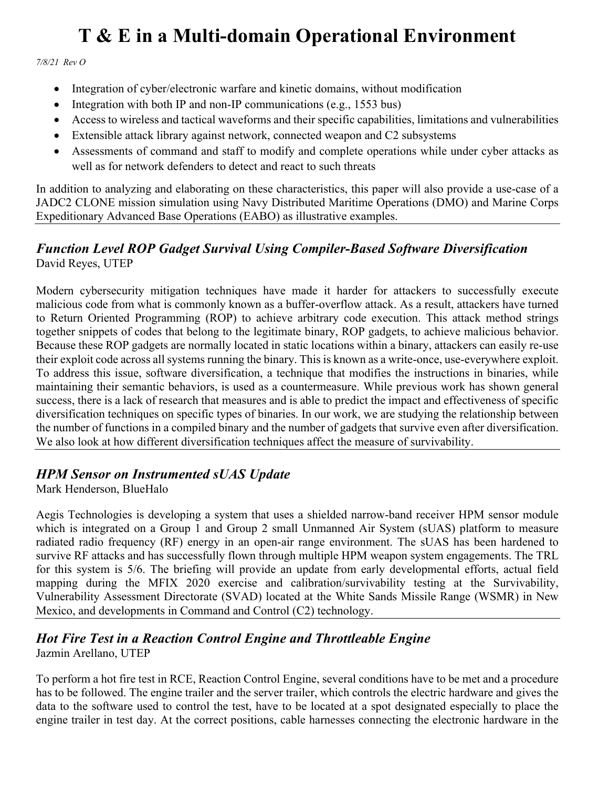*7/8/21 Rev O*

- Integration of cyber/electronic warfare and kinetic domains, without modification
- Integration with both IP and non-IP communications (e.g., 1553 bus)
- Access to wireless and tactical waveforms and their specific capabilities, limitations and vulnerabilities
- Extensible attack library against network, connected weapon and C2 subsystems
- Assessments of command and staff to modify and complete operations while under cyber attacks as well as for network defenders to detect and react to such threats

In addition to analyzing and elaborating on these characteristics, this paper will also provide a use-case of a JADC2 CLONE mission simulation using Navy Distributed Maritime Operations (DMO) and Marine Corps Expeditionary Advanced Base Operations (EABO) as illustrative examples.

### *Function Level ROP Gadget Survival Using Compiler-Based Software Diversification* David Reyes, UTEP

Modern cybersecurity mitigation techniques have made it harder for attackers to successfully execute malicious code from what is commonly known as a buffer-overflow attack. As a result, attackers have turned to Return Oriented Programming (ROP) to achieve arbitrary code execution. This attack method strings together snippets of codes that belong to the legitimate binary, ROP gadgets, to achieve malicious behavior. Because these ROP gadgets are normally located in static locations within a binary, attackers can easily re-use their exploit code across all systems running the binary. This is known as a write-once, use-everywhere exploit. To address this issue, software diversification, a technique that modifies the instructions in binaries, while maintaining their semantic behaviors, is used as a countermeasure. While previous work has shown general success, there is a lack of research that measures and is able to predict the impact and effectiveness of specific diversification techniques on specific types of binaries. In our work, we are studying the relationship between the number of functions in a compiled binary and the number of gadgets that survive even after diversification. We also look at how different diversification techniques affect the measure of survivability.

### *HPM Sensor on Instrumented sUAS Update*

Mark Henderson, BlueHalo

Aegis Technologies is developing a system that uses a shielded narrow-band receiver HPM sensor module which is integrated on a Group 1 and Group 2 small Unmanned Air System (sUAS) platform to measure radiated radio frequency (RF) energy in an open-air range environment. The sUAS has been hardened to survive RF attacks and has successfully flown through multiple HPM weapon system engagements. The TRL for this system is 5/6. The briefing will provide an update from early developmental efforts, actual field mapping during the MFIX 2020 exercise and calibration/survivability testing at the Survivability, Vulnerability Assessment Directorate (SVAD) located at the White Sands Missile Range (WSMR) in New Mexico, and developments in Command and Control (C2) technology.

## *Hot Fire Test in a Reaction Control Engine and Throttleable Engine*

Jazmin Arellano, UTEP

To perform a hot fire test in RCE, Reaction Control Engine, several conditions have to be met and a procedure has to be followed. The engine trailer and the server trailer, which controls the electric hardware and gives the data to the software used to control the test, have to be located at a spot designated especially to place the engine trailer in test day. At the correct positions, cable harnesses connecting the electronic hardware in the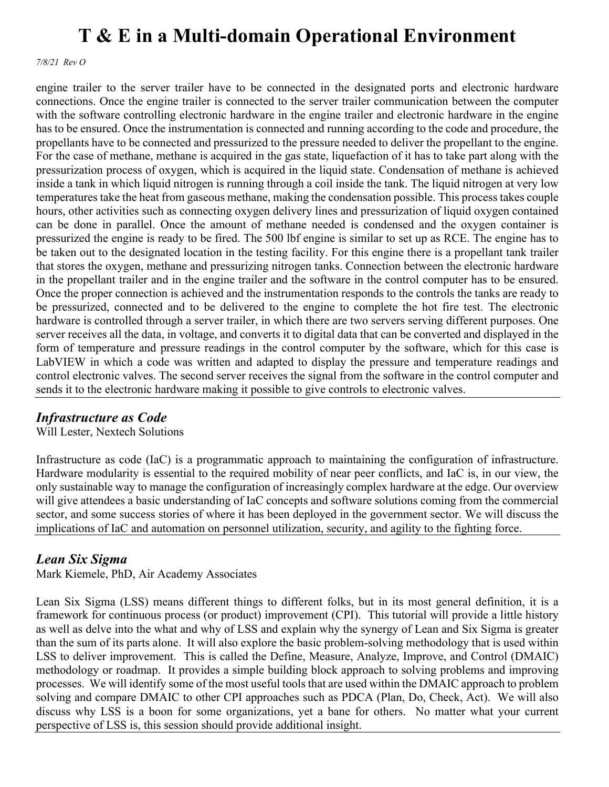*7/8/21 Rev O*

engine trailer to the server trailer have to be connected in the designated ports and electronic hardware connections. Once the engine trailer is connected to the server trailer communication between the computer with the software controlling electronic hardware in the engine trailer and electronic hardware in the engine has to be ensured. Once the instrumentation is connected and running according to the code and procedure, the propellants have to be connected and pressurized to the pressure needed to deliver the propellant to the engine. For the case of methane, methane is acquired in the gas state, liquefaction of it has to take part along with the pressurization process of oxygen, which is acquired in the liquid state. Condensation of methane is achieved inside a tank in which liquid nitrogen is running through a coil inside the tank. The liquid nitrogen at very low temperatures take the heat from gaseous methane, making the condensation possible. This process takes couple hours, other activities such as connecting oxygen delivery lines and pressurization of liquid oxygen contained can be done in parallel. Once the amount of methane needed is condensed and the oxygen container is pressurized the engine is ready to be fired. The 500 lbf engine is similar to set up as RCE. The engine has to be taken out to the designated location in the testing facility. For this engine there is a propellant tank trailer that stores the oxygen, methane and pressurizing nitrogen tanks. Connection between the electronic hardware in the propellant trailer and in the engine trailer and the software in the control computer has to be ensured. Once the proper connection is achieved and the instrumentation responds to the controls the tanks are ready to be pressurized, connected and to be delivered to the engine to complete the hot fire test. The electronic hardware is controlled through a server trailer, in which there are two servers serving different purposes. One server receives all the data, in voltage, and converts it to digital data that can be converted and displayed in the form of temperature and pressure readings in the control computer by the software, which for this case is LabVIEW in which a code was written and adapted to display the pressure and temperature readings and control electronic valves. The second server receives the signal from the software in the control computer and sends it to the electronic hardware making it possible to give controls to electronic valves.

### *Infrastructure as Code*

Will Lester, Nextech Solutions

Infrastructure as code (IaC) is a programmatic approach to maintaining the configuration of infrastructure. Hardware modularity is essential to the required mobility of near peer conflicts, and IaC is, in our view, the only sustainable way to manage the configuration of increasingly complex hardware at the edge. Our overview will give attendees a basic understanding of IaC concepts and software solutions coming from the commercial sector, and some success stories of where it has been deployed in the government sector. We will discuss the implications of IaC and automation on personnel utilization, security, and agility to the fighting force.

### *Lean Six Sigma*

Mark Kiemele, PhD, Air Academy Associates

Lean Six Sigma (LSS) means different things to different folks, but in its most general definition, it is a framework for continuous process (or product) improvement (CPI). This tutorial will provide a little history as well as delve into the what and why of LSS and explain why the synergy of Lean and Six Sigma is greater than the sum of its parts alone. It will also explore the basic problem-solving methodology that is used within LSS to deliver improvement. This is called the Define, Measure, Analyze, Improve, and Control (DMAIC) methodology or roadmap. It provides a simple building block approach to solving problems and improving processes. We will identify some of the most useful tools that are used within the DMAIC approach to problem solving and compare DMAIC to other CPI approaches such as PDCA (Plan, Do, Check, Act). We will also discuss why LSS is a boon for some organizations, yet a bane for others. No matter what your current perspective of LSS is, this session should provide additional insight.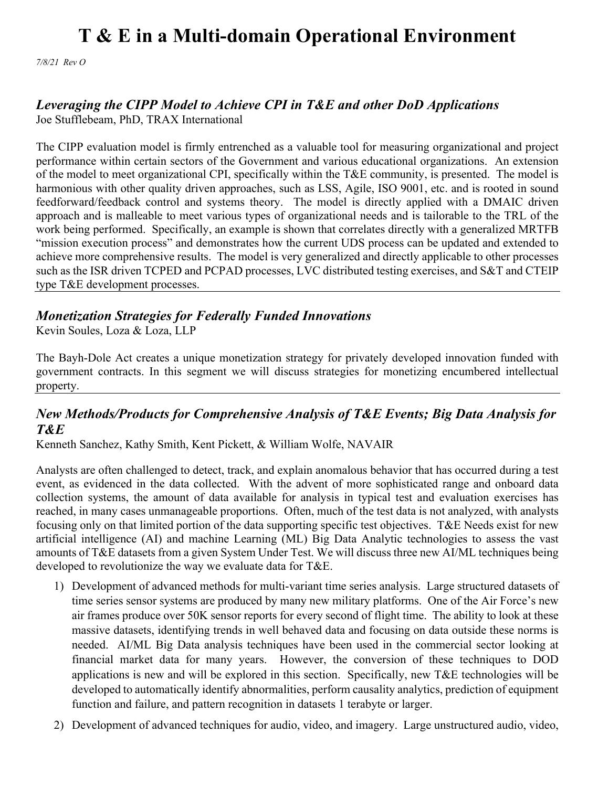*7/8/21 Rev O*

### *Leveraging the CIPP Model to Achieve CPI in T&E and other DoD Applications*

Joe Stufflebeam, PhD, TRAX International

The CIPP evaluation model is firmly entrenched as a valuable tool for measuring organizational and project performance within certain sectors of the Government and various educational organizations. An extension of the model to meet organizational CPI, specifically within the T&E community, is presented. The model is harmonious with other quality driven approaches, such as LSS, Agile, ISO 9001, etc. and is rooted in sound feedforward/feedback control and systems theory. The model is directly applied with a DMAIC driven approach and is malleable to meet various types of organizational needs and is tailorable to the TRL of the work being performed. Specifically, an example is shown that correlates directly with a generalized MRTFB "mission execution process" and demonstrates how the current UDS process can be updated and extended to achieve more comprehensive results. The model is very generalized and directly applicable to other processes such as the ISR driven TCPED and PCPAD processes, LVC distributed testing exercises, and S&T and CTEIP type T&E development processes.

## *Monetization Strategies for Federally Funded Innovations*

Kevin Soules, Loza & Loza, LLP

The Bayh-Dole Act creates a unique monetization strategy for privately developed innovation funded with government contracts. In this segment we will discuss strategies for monetizing encumbered intellectual property.

### *New Methods/Products for Comprehensive Analysis of T&E Events; Big Data Analysis for T&E*

Kenneth Sanchez, Kathy Smith, Kent Pickett, & William Wolfe, NAVAIR

Analysts are often challenged to detect, track, and explain anomalous behavior that has occurred during a test event, as evidenced in the data collected. With the advent of more sophisticated range and onboard data collection systems, the amount of data available for analysis in typical test and evaluation exercises has reached, in many cases unmanageable proportions. Often, much of the test data is not analyzed, with analysts focusing only on that limited portion of the data supporting specific test objectives. T&E Needs exist for new artificial intelligence (AI) and machine Learning (ML) Big Data Analytic technologies to assess the vast amounts of T&E datasets from a given System Under Test. We will discuss three new AI/ML techniques being developed to revolutionize the way we evaluate data for T&E.

- 1) Development of advanced methods for multi-variant time series analysis. Large structured datasets of time series sensor systems are produced by many new military platforms. One of the Air Force's new air frames produce over 50K sensor reports for every second of flight time. The ability to look at these massive datasets, identifying trends in well behaved data and focusing on data outside these norms is needed. AI/ML Big Data analysis techniques have been used in the commercial sector looking at financial market data for many years. However, the conversion of these techniques to DOD applications is new and will be explored in this section. Specifically, new T&E technologies will be developed to automatically identify abnormalities, perform causality analytics, prediction of equipment function and failure, and pattern recognition in datasets 1 terabyte or larger.
- 2) Development of advanced techniques for audio, video, and imagery. Large unstructured audio, video,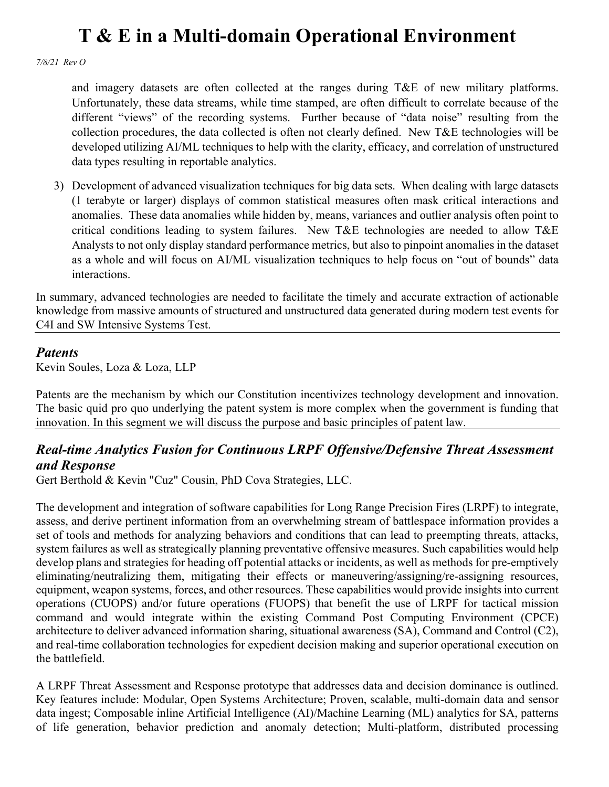*7/8/21 Rev O*

and imagery datasets are often collected at the ranges during T&E of new military platforms. Unfortunately, these data streams, while time stamped, are often difficult to correlate because of the different "views" of the recording systems. Further because of "data noise" resulting from the collection procedures, the data collected is often not clearly defined. New T&E technologies will be developed utilizing AI/ML techniques to help with the clarity, efficacy, and correlation of unstructured data types resulting in reportable analytics.

3) Development of advanced visualization techniques for big data sets. When dealing with large datasets (1 terabyte or larger) displays of common statistical measures often mask critical interactions and anomalies. These data anomalies while hidden by, means, variances and outlier analysis often point to critical conditions leading to system failures. New T&E technologies are needed to allow T&E Analysts to not only display standard performance metrics, but also to pinpoint anomalies in the dataset as a whole and will focus on AI/ML visualization techniques to help focus on "out of bounds" data interactions.

In summary, advanced technologies are needed to facilitate the timely and accurate extraction of actionable knowledge from massive amounts of structured and unstructured data generated during modern test events for C4I and SW Intensive Systems Test.

#### *Patents*

Kevin Soules, Loza & Loza, LLP

Patents are the mechanism by which our Constitution incentivizes technology development and innovation. The basic quid pro quo underlying the patent system is more complex when the government is funding that innovation. In this segment we will discuss the purpose and basic principles of patent law.

### *Real-time Analytics Fusion for Continuous LRPF Offensive/Defensive Threat Assessment and Response*

Gert Berthold & Kevin "Cuz" Cousin, PhD Cova Strategies, LLC.

The development and integration of software capabilities for Long Range Precision Fires (LRPF) to integrate, assess, and derive pertinent information from an overwhelming stream of battlespace information provides a set of tools and methods for analyzing behaviors and conditions that can lead to preempting threats, attacks, system failures as well as strategically planning preventative offensive measures. Such capabilities would help develop plans and strategies for heading off potential attacks or incidents, as well as methods for pre-emptively eliminating/neutralizing them, mitigating their effects or maneuvering/assigning/re-assigning resources, equipment, weapon systems, forces, and other resources. These capabilities would provide insights into current operations (CUOPS) and/or future operations (FUOPS) that benefit the use of LRPF for tactical mission command and would integrate within the existing Command Post Computing Environment (CPCE) architecture to deliver advanced information sharing, situational awareness (SA), Command and Control (C2), and real-time collaboration technologies for expedient decision making and superior operational execution on the battlefield.

A LRPF Threat Assessment and Response prototype that addresses data and decision dominance is outlined. Key features include: Modular, Open Systems Architecture; Proven, scalable, multi-domain data and sensor data ingest; Composable inline Artificial Intelligence (AI)/Machine Learning (ML) analytics for SA, patterns of life generation, behavior prediction and anomaly detection; Multi-platform, distributed processing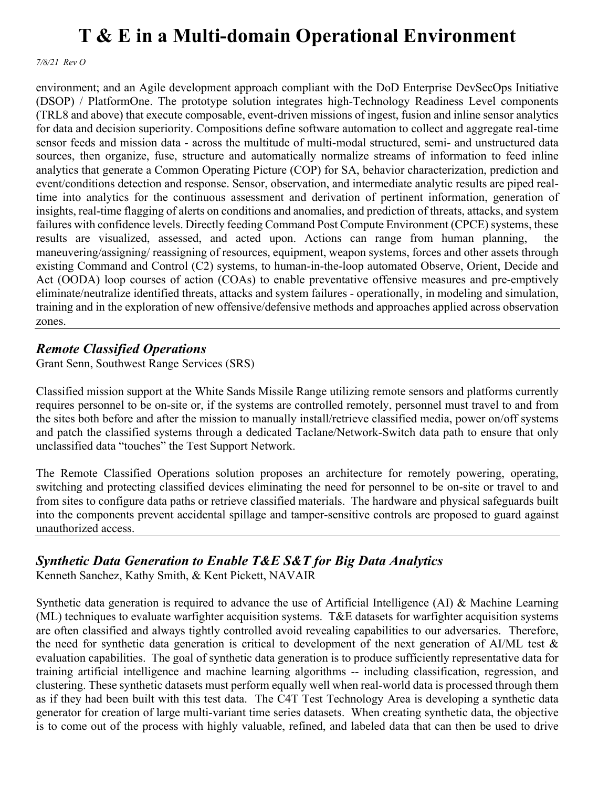*7/8/21 Rev O*

environment; and an Agile development approach compliant with the DoD Enterprise DevSecOps Initiative (DSOP) / PlatformOne. The prototype solution integrates high-Technology Readiness Level components (TRL8 and above) that execute composable, event-driven missions of ingest, fusion and inline sensor analytics for data and decision superiority. Compositions define software automation to collect and aggregate real-time sensor feeds and mission data - across the multitude of multi-modal structured, semi- and unstructured data sources, then organize, fuse, structure and automatically normalize streams of information to feed inline analytics that generate a Common Operating Picture (COP) for SA, behavior characterization, prediction and event/conditions detection and response. Sensor, observation, and intermediate analytic results are piped realtime into analytics for the continuous assessment and derivation of pertinent information, generation of insights, real-time flagging of alerts on conditions and anomalies, and prediction of threats, attacks, and system failures with confidence levels. Directly feeding Command Post Compute Environment (CPCE) systems, these results are visualized, assessed, and acted upon. Actions can range from human planning, maneuvering/assigning/ reassigning of resources, equipment, weapon systems, forces and other assets through existing Command and Control (C2) systems, to human-in-the-loop automated Observe, Orient, Decide and Act (OODA) loop courses of action (COAs) to enable preventative offensive measures and pre-emptively eliminate/neutralize identified threats, attacks and system failures - operationally, in modeling and simulation, training and in the exploration of new offensive/defensive methods and approaches applied across observation zones.

### *Remote Classified Operations*

Grant Senn, Southwest Range Services (SRS)

Classified mission support at the White Sands Missile Range utilizing remote sensors and platforms currently requires personnel to be on-site or, if the systems are controlled remotely, personnel must travel to and from the sites both before and after the mission to manually install/retrieve classified media, power on/off systems and patch the classified systems through a dedicated Taclane/Network-Switch data path to ensure that only unclassified data "touches" the Test Support Network.

The Remote Classified Operations solution proposes an architecture for remotely powering, operating, switching and protecting classified devices eliminating the need for personnel to be on-site or travel to and from sites to configure data paths or retrieve classified materials. The hardware and physical safeguards built into the components prevent accidental spillage and tamper-sensitive controls are proposed to guard against unauthorized access.

### *Synthetic Data Generation to Enable T&E S&T for Big Data Analytics*

Kenneth Sanchez, Kathy Smith, & Kent Pickett, NAVAIR

Synthetic data generation is required to advance the use of Artificial Intelligence (AI) & Machine Learning (ML) techniques to evaluate warfighter acquisition systems. T&E datasets for warfighter acquisition systems are often classified and always tightly controlled avoid revealing capabilities to our adversaries. Therefore, the need for synthetic data generation is critical to development of the next generation of AI/ML test  $\&$ evaluation capabilities. The goal of synthetic data generation is to produce sufficiently representative data for training artificial intelligence and machine learning algorithms -- including classification, regression, and clustering. These synthetic datasets must perform equally well when real-world data is processed through them as if they had been built with this test data. The C4T Test Technology Area is developing a synthetic data generator for creation of large multi-variant time series datasets. When creating synthetic data, the objective is to come out of the process with highly valuable, refined, and labeled data that can then be used to drive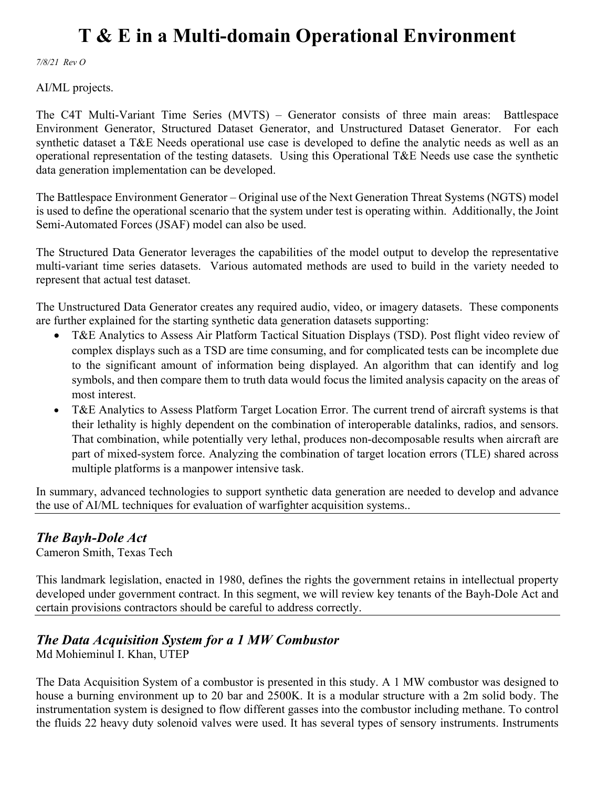*7/8/21 Rev O*

AI/ML projects.

The C4T Multi-Variant Time Series (MVTS) – Generator consists of three main areas: Battlespace Environment Generator, Structured Dataset Generator, and Unstructured Dataset Generator. For each synthetic dataset a T&E Needs operational use case is developed to define the analytic needs as well as an operational representation of the testing datasets. Using this Operational T&E Needs use case the synthetic data generation implementation can be developed.

The Battlespace Environment Generator – Original use of the Next Generation Threat Systems (NGTS) model is used to define the operational scenario that the system under test is operating within. Additionally, the Joint Semi-Automated Forces (JSAF) model can also be used.

The Structured Data Generator leverages the capabilities of the model output to develop the representative multi-variant time series datasets. Various automated methods are used to build in the variety needed to represent that actual test dataset.

The Unstructured Data Generator creates any required audio, video, or imagery datasets. These components are further explained for the starting synthetic data generation datasets supporting:

- T&E Analytics to Assess Air Platform Tactical Situation Displays (TSD). Post flight video review of complex displays such as a TSD are time consuming, and for complicated tests can be incomplete due to the significant amount of information being displayed. An algorithm that can identify and log symbols, and then compare them to truth data would focus the limited analysis capacity on the areas of most interest.
- T&E Analytics to Assess Platform Target Location Error. The current trend of aircraft systems is that their lethality is highly dependent on the combination of interoperable datalinks, radios, and sensors. That combination, while potentially very lethal, produces non-decomposable results when aircraft are part of mixed-system force. Analyzing the combination of target location errors (TLE) shared across multiple platforms is a manpower intensive task.

In summary, advanced technologies to support synthetic data generation are needed to develop and advance the use of AI/ML techniques for evaluation of warfighter acquisition systems..

### *The Bayh-Dole Act*

Cameron Smith, Texas Tech

This landmark legislation, enacted in 1980, defines the rights the government retains in intellectual property developed under government contract. In this segment, we will review key tenants of the Bayh-Dole Act and certain provisions contractors should be careful to address correctly.

### *The Data Acquisition System for a 1 MW Combustor*

Md Mohieminul I. Khan, UTEP

The Data Acquisition System of a combustor is presented in this study. A 1 MW combustor was designed to house a burning environment up to 20 bar and 2500K. It is a modular structure with a 2m solid body. The instrumentation system is designed to flow different gasses into the combustor including methane. To control the fluids 22 heavy duty solenoid valves were used. It has several types of sensory instruments. Instruments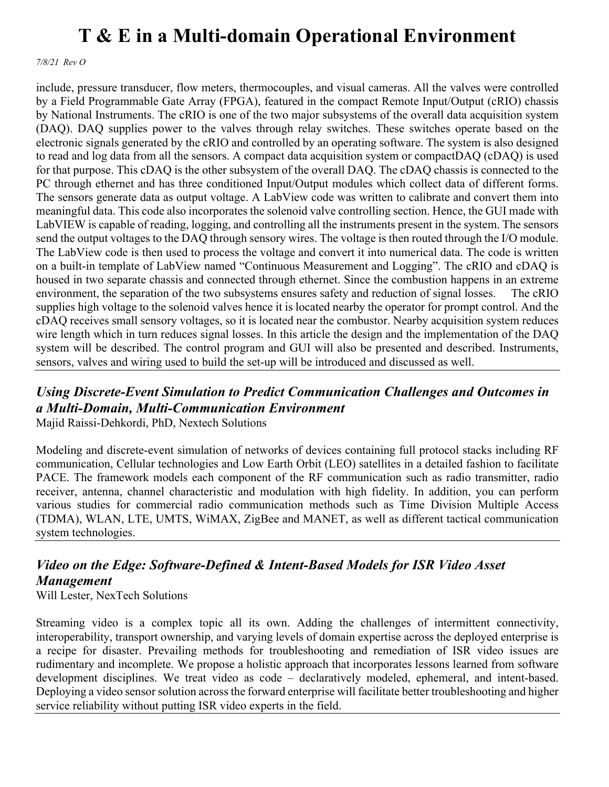*7/8/21 Rev O*

include, pressure transducer, flow meters, thermocouples, and visual cameras. All the valves were controlled by a Field Programmable Gate Array (FPGA), featured in the compact Remote Input/Output (cRIO) chassis by National Instruments. The cRIO is one of the two major subsystems of the overall data acquisition system (DAQ). DAQ supplies power to the valves through relay switches. These switches operate based on the electronic signals generated by the cRIO and controlled by an operating software. The system is also designed to read and log data from all the sensors. A compact data acquisition system or compactDAQ (cDAQ) is used for that purpose. This cDAQ is the other subsystem of the overall DAQ. The cDAQ chassis is connected to the PC through ethernet and has three conditioned Input/Output modules which collect data of different forms. The sensors generate data as output voltage. A LabView code was written to calibrate and convert them into meaningful data. This code also incorporates the solenoid valve controlling section. Hence, the GUI made with LabVIEW is capable of reading, logging, and controlling all the instruments present in the system. The sensors send the output voltages to the DAQ through sensory wires. The voltage is then routed through the I/O module. The LabView code is then used to process the voltage and convert it into numerical data. The code is written on a built-in template of LabView named "Continuous Measurement and Logging". The cRIO and cDAQ is housed in two separate chassis and connected through ethernet. Since the combustion happens in an extreme environment, the separation of the two subsystems ensures safety and reduction of signal losses. The cRIO supplies high voltage to the solenoid valves hence it is located nearby the operator for prompt control. And the cDAQ receives small sensory voltages, so it is located near the combustor. Nearby acquisition system reduces wire length which in turn reduces signal losses. In this article the design and the implementation of the DAQ system will be described. The control program and GUI will also be presented and described. Instruments, sensors, valves and wiring used to build the set-up will be introduced and discussed as well.

#### *Using Discrete-Event Simulation to Predict Communication Challenges and Outcomes in a Multi-Domain, Multi-Communication Environment* Majid Raissi-Dehkordi, PhD, Nextech Solutions

Modeling and discrete-event simulation of networks of devices containing full protocol stacks including RF communication, Cellular technologies and Low Earth Orbit (LEO) satellites in a detailed fashion to facilitate PACE. The framework models each component of the RF communication such as radio transmitter, radio receiver, antenna, channel characteristic and modulation with high fidelity. In addition, you can perform various studies for commercial radio communication methods such as Time Division Multiple Access (TDMA), WLAN, LTE, UMTS, WiMAX, ZigBee and MANET, as well as different tactical communication system technologies.

### *Video on the Edge: Software-Defined & Intent-Based Models for ISR Video Asset Management*

Will Lester, NexTech Solutions

Streaming video is a complex topic all its own. Adding the challenges of intermittent connectivity, interoperability, transport ownership, and varying levels of domain expertise across the deployed enterprise is a recipe for disaster. Prevailing methods for troubleshooting and remediation of ISR video issues are rudimentary and incomplete. We propose a holistic approach that incorporates lessons learned from software development disciplines. We treat video as code – declaratively modeled, ephemeral, and intent-based. Deploying a video sensor solution across the forward enterprise will facilitate better troubleshooting and higher service reliability without putting ISR video experts in the field.